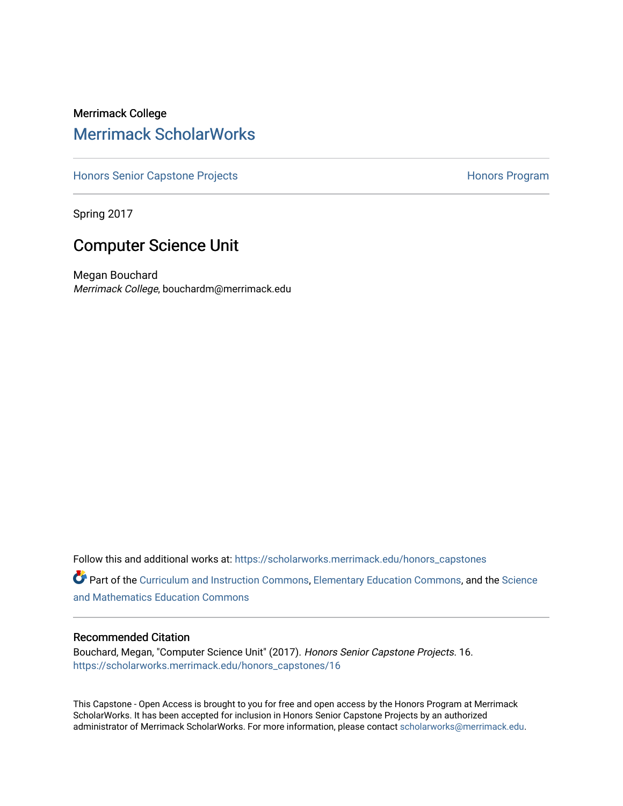# Merrimack College [Merrimack ScholarWorks](https://scholarworks.merrimack.edu/)

[Honors Senior Capstone Projects](https://scholarworks.merrimack.edu/honors_capstones) **Honors Program** Honors Program

Spring 2017

# Computer Science Unit

Megan Bouchard Merrimack College, bouchardm@merrimack.edu

Follow this and additional works at: [https://scholarworks.merrimack.edu/honors\\_capstones](https://scholarworks.merrimack.edu/honors_capstones?utm_source=scholarworks.merrimack.edu%2Fhonors_capstones%2F16&utm_medium=PDF&utm_campaign=PDFCoverPages)

Part of the [Curriculum and Instruction Commons,](http://network.bepress.com/hgg/discipline/786?utm_source=scholarworks.merrimack.edu%2Fhonors_capstones%2F16&utm_medium=PDF&utm_campaign=PDFCoverPages) [Elementary Education Commons](http://network.bepress.com/hgg/discipline/1378?utm_source=scholarworks.merrimack.edu%2Fhonors_capstones%2F16&utm_medium=PDF&utm_campaign=PDFCoverPages), and the [Science](http://network.bepress.com/hgg/discipline/800?utm_source=scholarworks.merrimack.edu%2Fhonors_capstones%2F16&utm_medium=PDF&utm_campaign=PDFCoverPages) [and Mathematics Education Commons](http://network.bepress.com/hgg/discipline/800?utm_source=scholarworks.merrimack.edu%2Fhonors_capstones%2F16&utm_medium=PDF&utm_campaign=PDFCoverPages) 

#### Recommended Citation

Bouchard, Megan, "Computer Science Unit" (2017). Honors Senior Capstone Projects. 16. [https://scholarworks.merrimack.edu/honors\\_capstones/16](https://scholarworks.merrimack.edu/honors_capstones/16?utm_source=scholarworks.merrimack.edu%2Fhonors_capstones%2F16&utm_medium=PDF&utm_campaign=PDFCoverPages) 

This Capstone - Open Access is brought to you for free and open access by the Honors Program at Merrimack ScholarWorks. It has been accepted for inclusion in Honors Senior Capstone Projects by an authorized administrator of Merrimack ScholarWorks. For more information, please contact [scholarworks@merrimack.edu](mailto:scholarworks@merrimack.edu).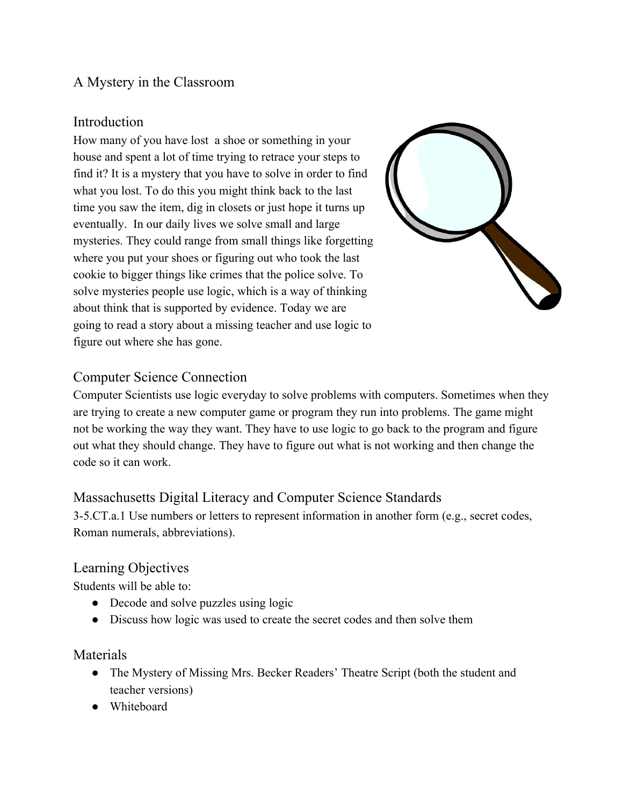# A Mystery in the Classroom

#### **Introduction**

How many of you have lost a shoe or something in your house and spent a lot of time trying to retrace your steps to find it? It is a mystery that you have to solve in order to find what you lost. To do this you might think back to the last time you saw the item, dig in closets or just hope it turns up eventually. In our daily lives we solve small and large mysteries. They could range from small things like forgetting where you put your shoes or figuring out who took the last cookie to bigger things like crimes that the police solve. To solve mysteries people use logic, which is a way of thinking about think that is supported by evidence. Today we are going to read a story about a missing teacher and use logic to figure out where she has gone.



# Computer Science Connection

Computer Scientists use logic everyday to solve problems with computers. Sometimes when they are trying to create a new computer game or program they run into problems. The game might not be working the way they want. They have to use logic to go back to the program and figure out what they should change. They have to figure out what is not working and then change the code so it can work.

# Massachusetts Digital Literacy and Computer Science Standards

3-5.CT.a.1 Use numbers or letters to represent information in another form (e.g., secret codes, Roman numerals, abbreviations).

#### Learning Objectives

Students will be able to:

- Decode and solve puzzles using logic
- Discuss how logic was used to create the secret codes and then solve them

#### Materials

- The Mystery of Missing Mrs. Becker Readers' Theatre Script (both the student and teacher versions)
- Whiteboard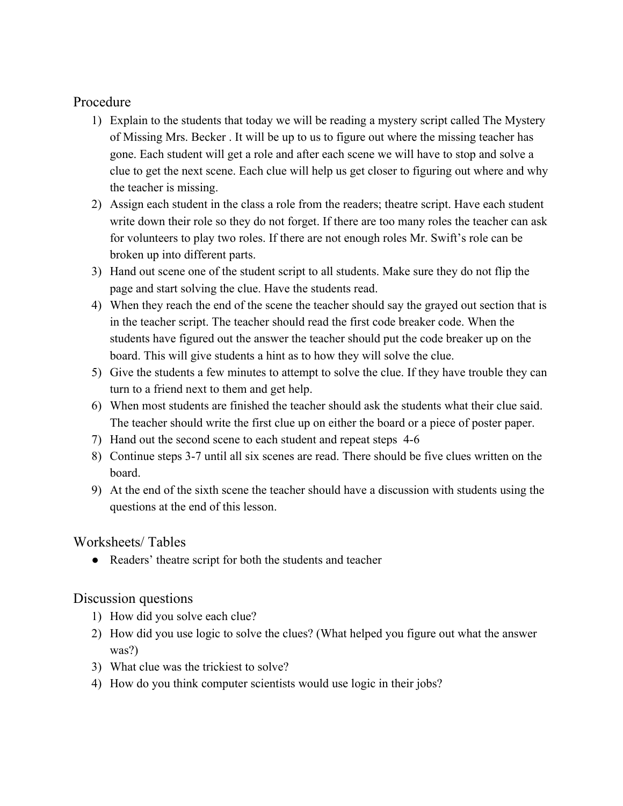# Procedure

- 1) Explain to the students that today we will be reading a mystery script called The Mystery of Missing Mrs. Becker . It will be up to us to figure out where the missing teacher has gone. Each student will get a role and after each scene we will have to stop and solve a clue to get the next scene. Each clue will help us get closer to figuring out where and why the teacher is missing.
- 2) Assign each student in the class a role from the readers; theatre script. Have each student write down their role so they do not forget. If there are too many roles the teacher can ask for volunteers to play two roles. If there are not enough roles Mr. Swift's role can be broken up into different parts.
- 3) Hand out scene one of the student script to all students. Make sure they do not flip the page and start solving the clue. Have the students read.
- 4) When they reach the end of the scene the teacher should say the grayed out section that is in the teacher script. The teacher should read the first code breaker code. When the students have figured out the answer the teacher should put the code breaker up on the board. This will give students a hint as to how they will solve the clue.
- 5) Give the students a few minutes to attempt to solve the clue. If they have trouble they can turn to a friend next to them and get help.
- 6) When most students are finished the teacher should ask the students what their clue said. The teacher should write the first clue up on either the board or a piece of poster paper.
- 7) Hand out the second scene to each student and repeat steps 4-6
- 8) Continue steps 3-7 until all six scenes are read. There should be five clues written on the board.
- 9) At the end of the sixth scene the teacher should have a discussion with students using the questions at the end of this lesson.

# Worksheets/ Tables

● Readers' theatre script for both the students and teacher

# Discussion questions

- 1) How did you solve each clue?
- 2) How did you use logic to solve the clues? (What helped you figure out what the answer was?)
- 3) What clue was the trickiest to solve?
- 4) How do you think computer scientists would use logic in their jobs?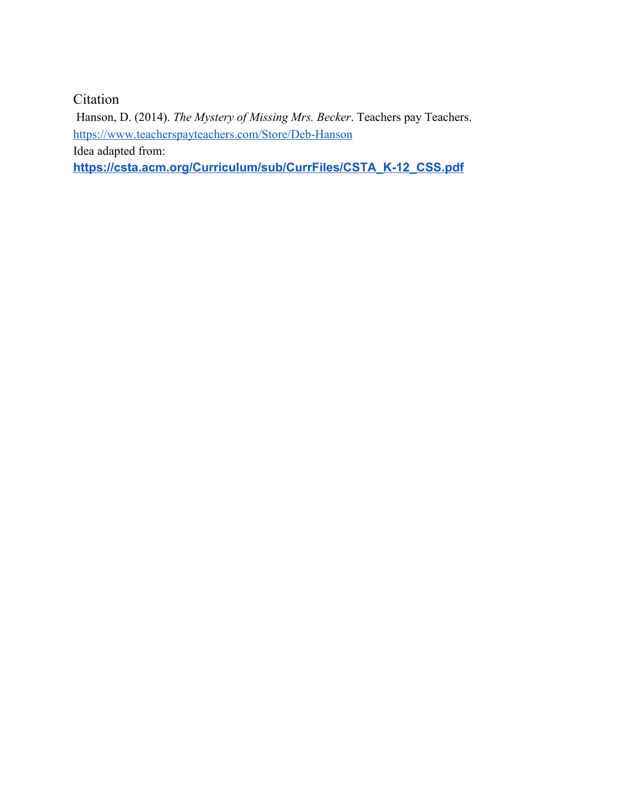Citation

 Hanson, D. (2014). *The Mystery of Missing Mrs. Becker*. Teachers pay Teachers. <https://www.teacherspayteachers.com/Store/Deb-Hanson> Idea adapted from:

**[https://csta.acm.org/Curriculum/sub/CurrFiles/CSTA\\_K-12\\_CSS.pdf](https://csta.acm.org/Curriculum/sub/CurrFiles/CSTA_K-12_CSS.pdf)**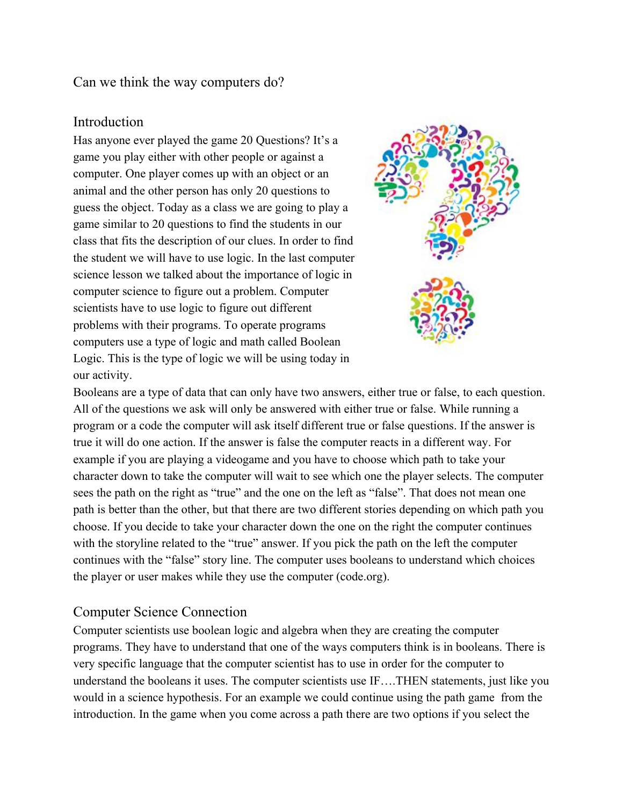Can we think the way computers do?

#### Introduction

Has anyone ever played the game 20 Questions? It's a game you play either with other people or against a computer. One player comes up with an object or an animal and the other person has only 20 questions to guess the object. Today as a class we are going to play a game similar to 20 questions to find the students in our class that fits the description of our clues. In order to find the student we will have to use logic. In the last computer science lesson we talked about the importance of logic in computer science to figure out a problem. Computer scientists have to use logic to figure out different problems with their programs. To operate programs computers use a type of logic and math called Boolean Logic. This is the type of logic we will be using today in our activity.



Booleans are a type of data that can only have two answers, either true or false, to each question. All of the questions we ask will only be answered with either true or false. While running a program or a code the computer will ask itself different true or false questions. If the answer is true it will do one action. If the answer is false the computer reacts in a different way. For example if you are playing a videogame and you have to choose which path to take your character down to take the computer will wait to see which one the player selects. The computer sees the path on the right as "true" and the one on the left as "false". That does not mean one path is better than the other, but that there are two different stories depending on which path you choose. If you decide to take your character down the one on the right the computer continues with the storyline related to the "true" answer. If you pick the path on the left the computer continues with the "false" story line. The computer uses booleans to understand which choices the player or user makes while they use the computer (code.org).

# Computer Science Connection

Computer scientists use boolean logic and algebra when they are creating the computer programs. They have to understand that one of the ways computers think is in booleans. There is very specific language that the computer scientist has to use in order for the computer to understand the booleans it uses. The computer scientists use IF….THEN statements, just like you would in a science hypothesis. For an example we could continue using the path game from the introduction. In the game when you come across a path there are two options if you select the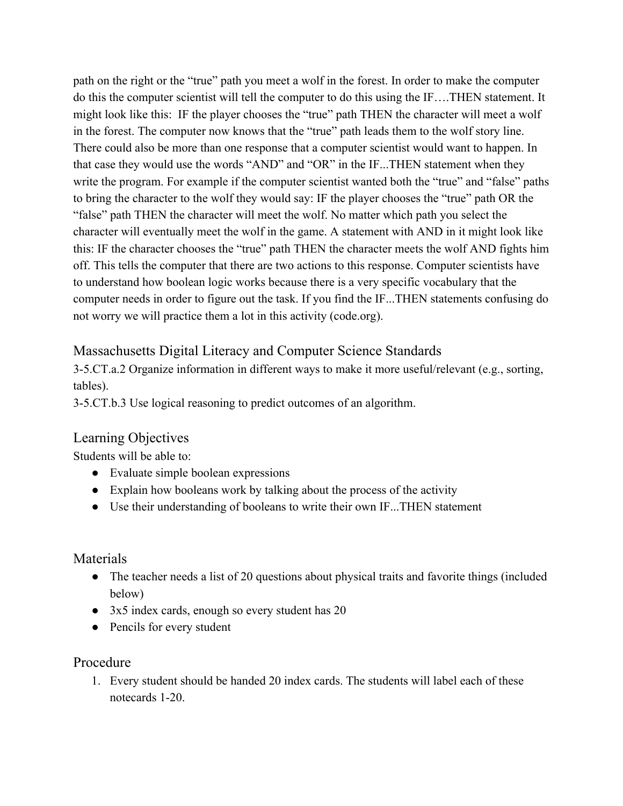path on the right or the "true" path you meet a wolf in the forest. In order to make the computer do this the computer scientist will tell the computer to do this using the IF….THEN statement. It might look like this: IF the player chooses the "true" path THEN the character will meet a wolf in the forest. The computer now knows that the "true" path leads them to the wolf story line. There could also be more than one response that a computer scientist would want to happen. In that case they would use the words "AND" and "OR" in the IF...THEN statement when they write the program. For example if the computer scientist wanted both the "true" and "false" paths to bring the character to the wolf they would say: IF the player chooses the "true" path OR the "false" path THEN the character will meet the wolf. No matter which path you select the character will eventually meet the wolf in the game. A statement with AND in it might look like this: IF the character chooses the "true" path THEN the character meets the wolf AND fights him off. This tells the computer that there are two actions to this response. Computer scientists have to understand how boolean logic works because there is a very specific vocabulary that the computer needs in order to figure out the task. If you find the IF...THEN statements confusing do not worry we will practice them a lot in this activity (code.org).

# Massachusetts Digital Literacy and Computer Science Standards

3-5.CT.a.2 Organize information in different ways to make it more useful/relevant (e.g., sorting, tables).

3-5.CT.b.3 Use logical reasoning to predict outcomes of an algorithm.

# Learning Objectives

Students will be able to:

- Evaluate simple boolean expressions
- Explain how booleans work by talking about the process of the activity
- Use their understanding of booleans to write their own IF...THEN statement

#### Materials

- The teacher needs a list of 20 questions about physical traits and favorite things (included below)
- 3x5 index cards, enough so every student has 20
- Pencils for every student

# Procedure

1. Every student should be handed 20 index cards. The students will label each of these notecards 1-20.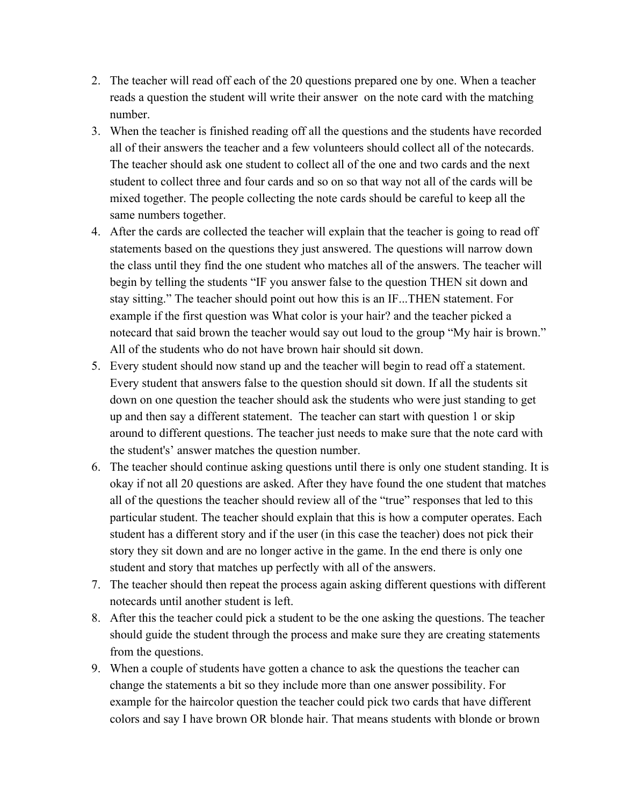- 2. The teacher will read off each of the 20 questions prepared one by one. When a teacher reads a question the student will write their answer on the note card with the matching number.
- 3. When the teacher is finished reading off all the questions and the students have recorded all of their answers the teacher and a few volunteers should collect all of the notecards. The teacher should ask one student to collect all of the one and two cards and the next student to collect three and four cards and so on so that way not all of the cards will be mixed together. The people collecting the note cards should be careful to keep all the same numbers together.
- 4. After the cards are collected the teacher will explain that the teacher is going to read off statements based on the questions they just answered. The questions will narrow down the class until they find the one student who matches all of the answers. The teacher will begin by telling the students "IF you answer false to the question THEN sit down and stay sitting." The teacher should point out how this is an IF...THEN statement. For example if the first question was What color is your hair? and the teacher picked a notecard that said brown the teacher would say out loud to the group "My hair is brown." All of the students who do not have brown hair should sit down.
- 5. Every student should now stand up and the teacher will begin to read off a statement. Every student that answers false to the question should sit down. If all the students sit down on one question the teacher should ask the students who were just standing to get up and then say a different statement. The teacher can start with question 1 or skip around to different questions. The teacher just needs to make sure that the note card with the student's' answer matches the question number.
- 6. The teacher should continue asking questions until there is only one student standing. It is okay if not all 20 questions are asked. After they have found the one student that matches all of the questions the teacher should review all of the "true" responses that led to this particular student. The teacher should explain that this is how a computer operates. Each student has a different story and if the user (in this case the teacher) does not pick their story they sit down and are no longer active in the game. In the end there is only one student and story that matches up perfectly with all of the answers.
- 7. The teacher should then repeat the process again asking different questions with different notecards until another student is left.
- 8. After this the teacher could pick a student to be the one asking the questions. The teacher should guide the student through the process and make sure they are creating statements from the questions.
- 9. When a couple of students have gotten a chance to ask the questions the teacher can change the statements a bit so they include more than one answer possibility. For example for the haircolor question the teacher could pick two cards that have different colors and say I have brown OR blonde hair. That means students with blonde or brown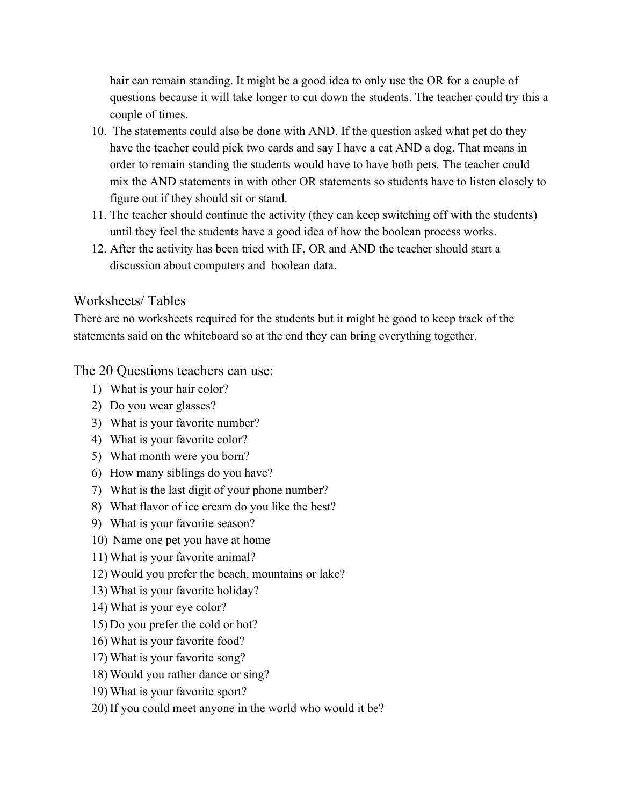hair can remain standing. It might be a good idea to only use the OR for a couple of questions because it will take longer to cut down the students. The teacher could try this a couple of times.

- 10. The statements could also be done with AND. If the question asked what pet do they have the teacher could pick two cards and say I have a cat AND a dog. That means in order to remain standing the students would have to have both pets. The teacher could mix the AND statements in with other OR statements so students have to listen closely to figure out if they should sit or stand.
- 11. The teacher should continue the activity (they can keep switching off with the students) until they feel the students have a good idea of how the boolean process works.
- 12. After the activity has been tried with IF, OR and AND the teacher should start a discussion about computers and boolean data.

# Worksheets/ Tables

There are no worksheets required for the students but it might be good to keep track of the statements said on the whiteboard so at the end they can bring everything together.

#### The 20 Questions teachers can use:

- 1) What is your hair color?
- 2) Do you wear glasses?
- 3) What is your favorite number?
- 4) What is your favorite color?
- 5) What month were you born?
- 6) How many siblings do you have?
- 7) What is the last digit of your phone number?
- 8) What flavor of ice cream do you like the best?
- 9) What is your favorite season?
- 10) Name one pet you have at home
- 11) What is your favorite animal?
- 12) Would you prefer the beach, mountains or lake?
- 13) What is your favorite holiday?
- 14) What is your eye color?
- 15) Do you prefer the cold or hot?
- 16) What is your favorite food?
- 17) What is your favorite song?
- 18) Would you rather dance or sing?
- 19) What is your favorite sport?
- 20) If you could meet anyone in the world who would it be?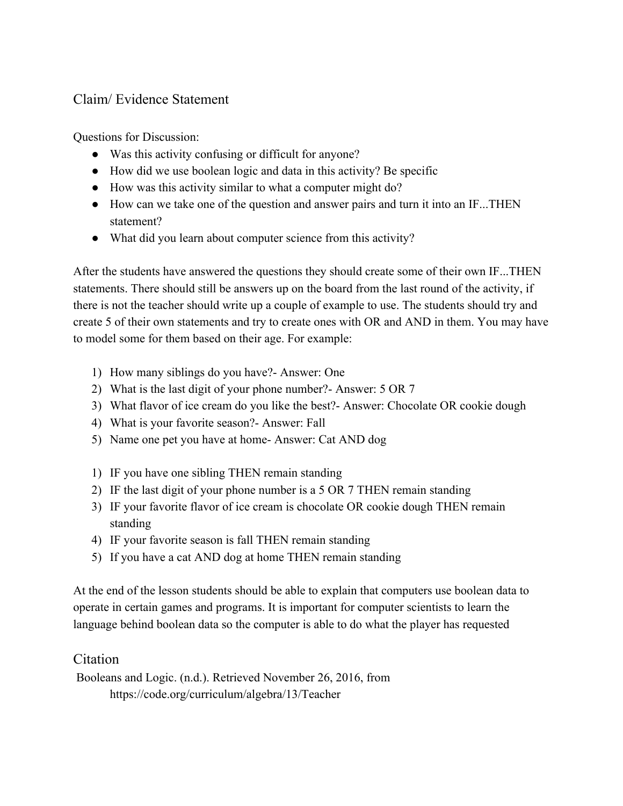# Claim/ Evidence Statement

Questions for Discussion:

- Was this activity confusing or difficult for anyone?
- How did we use boolean logic and data in this activity? Be specific
- How was this activity similar to what a computer might do?
- How can we take one of the question and answer pairs and turn it into an IF...THEN statement?
- What did you learn about computer science from this activity?

After the students have answered the questions they should create some of their own IF...THEN statements. There should still be answers up on the board from the last round of the activity, if there is not the teacher should write up a couple of example to use. The students should try and create 5 of their own statements and try to create ones with OR and AND in them. You may have to model some for them based on their age. For example:

- 1) How many siblings do you have?- Answer: One
- 2) What is the last digit of your phone number?- Answer: 5 OR 7
- 3) What flavor of ice cream do you like the best?- Answer: Chocolate OR cookie dough
- 4) What is your favorite season?- Answer: Fall
- 5) Name one pet you have at home- Answer: Cat AND dog
- 1) IF you have one sibling THEN remain standing
- 2) IF the last digit of your phone number is a 5 OR 7 THEN remain standing
- 3) IF your favorite flavor of ice cream is chocolate OR cookie dough THEN remain standing
- 4) IF your favorite season is fall THEN remain standing
- 5) If you have a cat AND dog at home THEN remain standing

At the end of the lesson students should be able to explain that computers use boolean data to operate in certain games and programs. It is important for computer scientists to learn the language behind boolean data so the computer is able to do what the player has requested

# Citation

 Booleans and Logic. (n.d.). Retrieved November 26, 2016, from https://code.org/curriculum/algebra/13/Teacher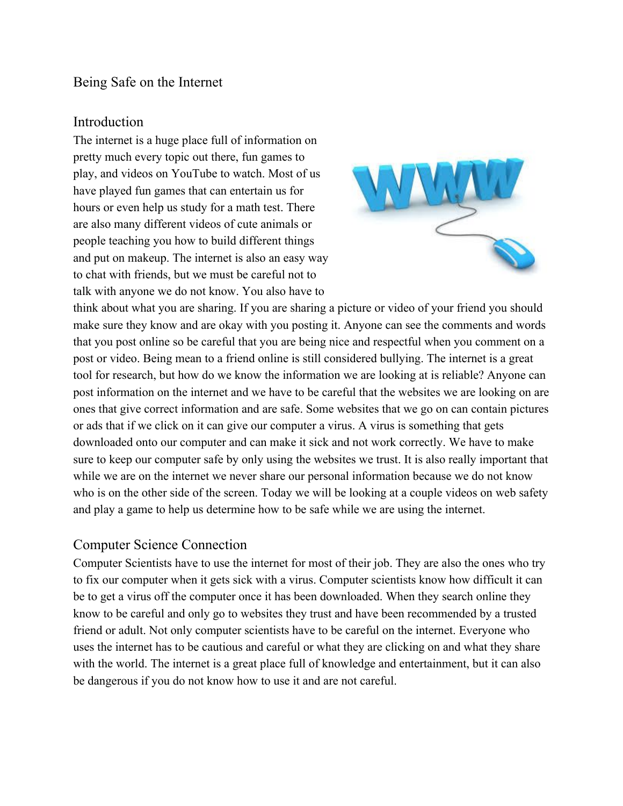#### Being Safe on the Internet

#### **Introduction**

The internet is a huge place full of information on pretty much every topic out there, fun games to play, and videos on YouTube to watch. Most of us have played fun games that can entertain us for hours or even help us study for a math test. There are also many different videos of cute animals or people teaching you how to build different things and put on makeup. The internet is also an easy way to chat with friends, but we must be careful not to talk with anyone we do not know. You also have to



think about what you are sharing. If you are sharing a picture or video of your friend you should make sure they know and are okay with you posting it. Anyone can see the comments and words that you post online so be careful that you are being nice and respectful when you comment on a post or video. Being mean to a friend online is still considered bullying. The internet is a great tool for research, but how do we know the information we are looking at is reliable? Anyone can post information on the internet and we have to be careful that the websites we are looking on are ones that give correct information and are safe. Some websites that we go on can contain pictures or ads that if we click on it can give our computer a virus. A virus is something that gets downloaded onto our computer and can make it sick and not work correctly. We have to make sure to keep our computer safe by only using the websites we trust. It is also really important that while we are on the internet we never share our personal information because we do not know who is on the other side of the screen. Today we will be looking at a couple videos on web safety and play a game to help us determine how to be safe while we are using the internet.

#### Computer Science Connection

Computer Scientists have to use the internet for most of their job. They are also the ones who try to fix our computer when it gets sick with a virus. Computer scientists know how difficult it can be to get a virus off the computer once it has been downloaded. When they search online they know to be careful and only go to websites they trust and have been recommended by a trusted friend or adult. Not only computer scientists have to be careful on the internet. Everyone who uses the internet has to be cautious and careful or what they are clicking on and what they share with the world. The internet is a great place full of knowledge and entertainment, but it can also be dangerous if you do not know how to use it and are not careful.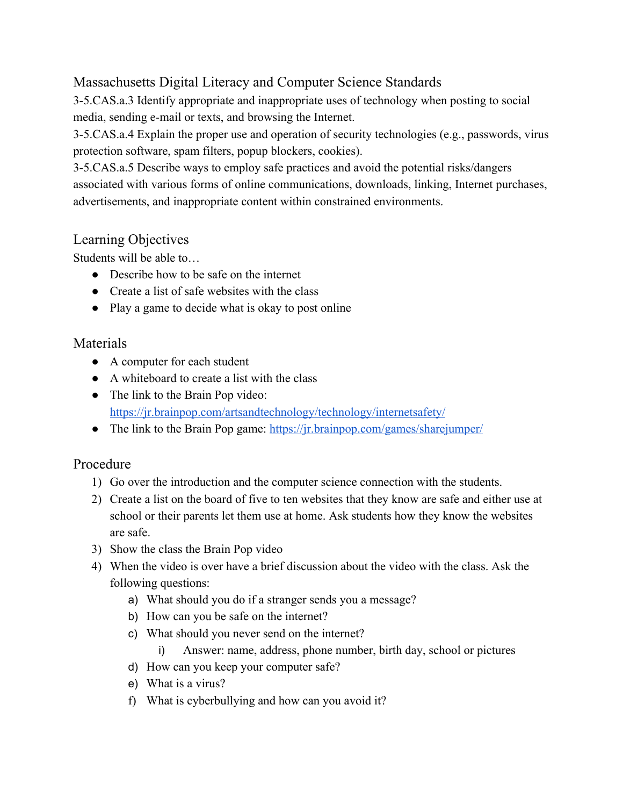# Massachusetts Digital Literacy and Computer Science Standards

3-5.CAS.a.3 Identify appropriate and inappropriate uses of technology when posting to social media, sending e-mail or texts, and browsing the Internet.

3-5.CAS.a.4 Explain the proper use and operation of security technologies (e.g., passwords, virus protection software, spam filters, popup blockers, cookies).

3-5.CAS.a.5 Describe ways to employ safe practices and avoid the potential risks/dangers associated with various forms of online communications, downloads, linking, Internet purchases, advertisements, and inappropriate content within constrained environments.

# Learning Objectives

Students will be able to…

- Describe how to be safe on the internet
- Create a list of safe websites with the class
- Play a game to decide what is okay to post online

# Materials

- A computer for each student
- A whiteboard to create a list with the class
- The link to the Brain Pop video: <https://jr.brainpop.com/artsandtechnology/technology/internetsafety/>
- The link to the Brain Pop game: <https://jr.brainpop.com/games/sharejumper/>

# Procedure

- 1) Go over the introduction and the computer science connection with the students.
- 2) Create a list on the board of five to ten websites that they know are safe and either use at school or their parents let them use at home. Ask students how they know the websites are safe.
- 3) Show the class the Brain Pop video
- 4) When the video is over have a brief discussion about the video with the class. Ask the following questions:
	- a) What should you do if a stranger sends you a message?
	- b) How can you be safe on the internet?
	- c) What should you never send on the internet?
		- i) Answer: name, address, phone number, birth day, school or pictures
	- d) How can you keep your computer safe?
	- e) What is a virus?
	- f) What is cyberbullying and how can you avoid it?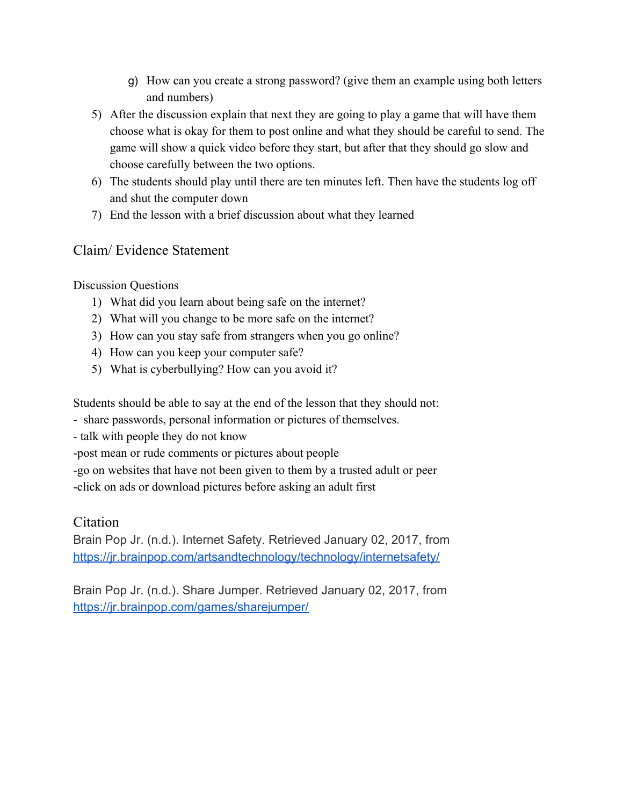- g) How can you create a strong password? (give them an example using both letters and numbers)
- 5) After the discussion explain that next they are going to play a game that will have them choose what is okay for them to post online and what they should be careful to send. The game will show a quick video before they start, but after that they should go slow and choose carefully between the two options.
- 6) The students should play until there are ten minutes left. Then have the students log off and shut the computer down
- 7) End the lesson with a brief discussion about what they learned

# Claim/ Evidence Statement

Discussion Questions

- 1) What did you learn about being safe on the internet?
- 2) What will you change to be more safe on the internet?
- 3) How can you stay safe from strangers when you go online?
- 4) How can you keep your computer safe?
- 5) What is cyberbullying? How can you avoid it?

Students should be able to say at the end of the lesson that they should not:

- share passwords, personal information or pictures of themselves.
- talk with people they do not know

-post mean or rude comments or pictures about people

-go on websites that have not been given to them by a trusted adult or peer -click on ads or download pictures before asking an adult first

# Citation

Brain Pop Jr. (n.d.). Internet Safety. Retrieved January 02, 2017, from <https://jr.brainpop.com/artsandtechnology/technology/internetsafety/>

Brain Pop Jr. (n.d.). Share Jumper. Retrieved January 02, 2017, from <https://jr.brainpop.com/games/sharejumper/>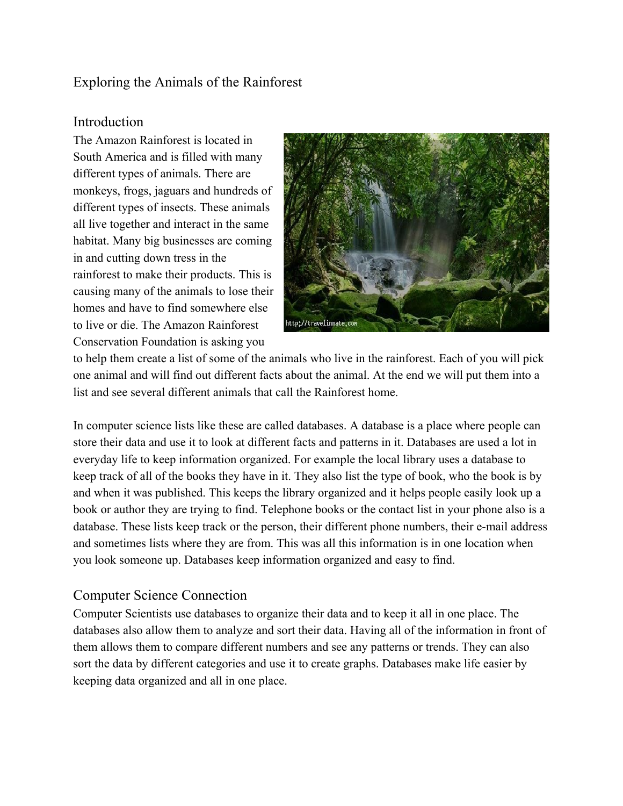# Exploring the Animals of the Rainforest

#### Introduction

The Amazon Rainforest is located in South America and is filled with many different types of animals. There are monkeys, frogs, jaguars and hundreds of different types of insects. These animals all live together and interact in the same habitat. Many big businesses are coming in and cutting down tress in the rainforest to make their products. This is causing many of the animals to lose their homes and have to find somewhere else to live or die. The Amazon Rainforest Conservation Foundation is asking you



to help them create a list of some of the animals who live in the rainforest. Each of you will pick one animal and will find out different facts about the animal. At the end we will put them into a list and see several different animals that call the Rainforest home.

In computer science lists like these are called databases. A database is a place where people can store their data and use it to look at different facts and patterns in it. Databases are used a lot in everyday life to keep information organized. For example the local library uses a database to keep track of all of the books they have in it. They also list the type of book, who the book is by and when it was published. This keeps the library organized and it helps people easily look up a book or author they are trying to find. Telephone books or the contact list in your phone also is a database. These lists keep track or the person, their different phone numbers, their e-mail address and sometimes lists where they are from. This was all this information is in one location when you look someone up. Databases keep information organized and easy to find.

# Computer Science Connection

Computer Scientists use databases to organize their data and to keep it all in one place. The databases also allow them to analyze and sort their data. Having all of the information in front of them allows them to compare different numbers and see any patterns or trends. They can also sort the data by different categories and use it to create graphs. Databases make life easier by keeping data organized and all in one place.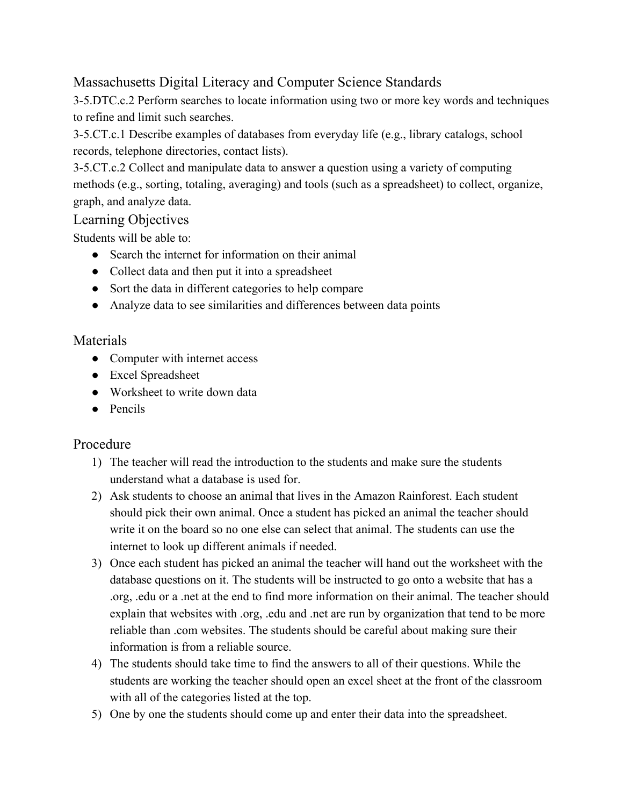# Massachusetts Digital Literacy and Computer Science Standards

3-5.DTC.c.2 Perform searches to locate information using two or more key words and techniques to refine and limit such searches.

3-5.CT.c.1 Describe examples of databases from everyday life (e.g., library catalogs, school records, telephone directories, contact lists).

3-5.CT.c.2 Collect and manipulate data to answer a question using a variety of computing methods (e.g., sorting, totaling, averaging) and tools (such as a spreadsheet) to collect, organize, graph, and analyze data.

#### Learning Objectives

Students will be able to:

- Search the internet for information on their animal
- Collect data and then put it into a spreadsheet
- Sort the data in different categories to help compare
- Analyze data to see similarities and differences between data points

# Materials

- Computer with internet access
- Excel Spreadsheet
- Worksheet to write down data
- Pencils

# Procedure

- 1) The teacher will read the introduction to the students and make sure the students understand what a database is used for.
- 2) Ask students to choose an animal that lives in the Amazon Rainforest. Each student should pick their own animal. Once a student has picked an animal the teacher should write it on the board so no one else can select that animal. The students can use the internet to look up different animals if needed.
- 3) Once each student has picked an animal the teacher will hand out the worksheet with the database questions on it. The students will be instructed to go onto a website that has a .org, .edu or a .net at the end to find more information on their animal. The teacher should explain that websites with .org, .edu and .net are run by organization that tend to be more reliable than .com websites. The students should be careful about making sure their information is from a reliable source.
- 4) The students should take time to find the answers to all of their questions. While the students are working the teacher should open an excel sheet at the front of the classroom with all of the categories listed at the top.
- 5) One by one the students should come up and enter their data into the spreadsheet.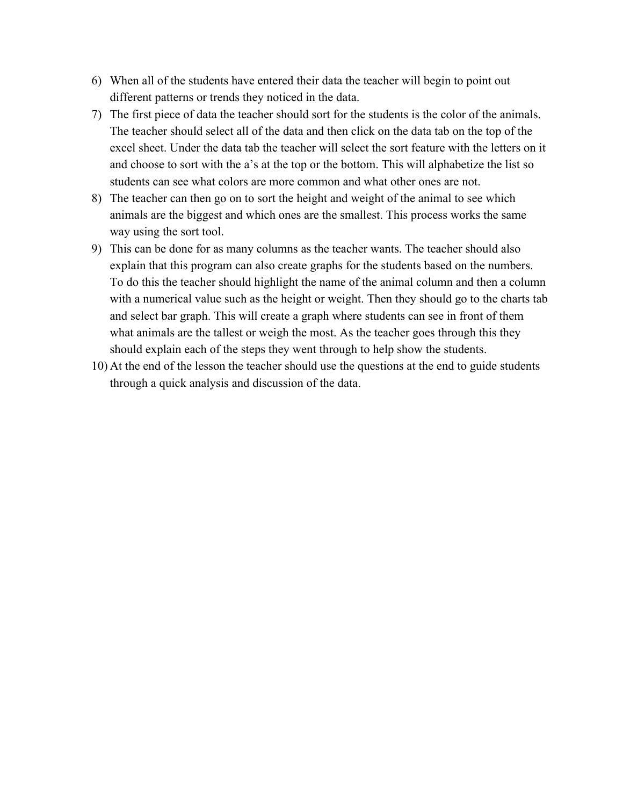- 6) When all of the students have entered their data the teacher will begin to point out different patterns or trends they noticed in the data.
- 7) The first piece of data the teacher should sort for the students is the color of the animals. The teacher should select all of the data and then click on the data tab on the top of the excel sheet. Under the data tab the teacher will select the sort feature with the letters on it and choose to sort with the a's at the top or the bottom. This will alphabetize the list so students can see what colors are more common and what other ones are not.
- 8) The teacher can then go on to sort the height and weight of the animal to see which animals are the biggest and which ones are the smallest. This process works the same way using the sort tool.
- 9) This can be done for as many columns as the teacher wants. The teacher should also explain that this program can also create graphs for the students based on the numbers. To do this the teacher should highlight the name of the animal column and then a column with a numerical value such as the height or weight. Then they should go to the charts tab and select bar graph. This will create a graph where students can see in front of them what animals are the tallest or weigh the most. As the teacher goes through this they should explain each of the steps they went through to help show the students.
- 10) At the end of the lesson the teacher should use the questions at the end to guide students through a quick analysis and discussion of the data.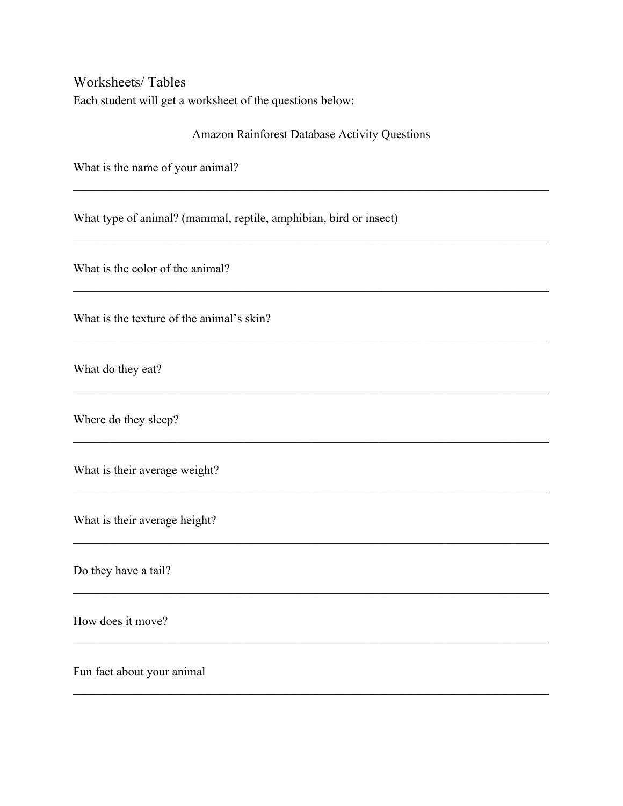**Worksheets/Tables** Each student will get a worksheet of the questions below:

#### **Amazon Rainforest Database Activity Questions**

What is the name of your animal?

What type of animal? (mammal, reptile, amphibian, bird or insect)

What is the color of the animal?

What is the texture of the animal's skin?

What do they eat?

Where do they sleep?

What is their average weight?

What is their average height?

Do they have a tail?

How does it move?

Fun fact about your animal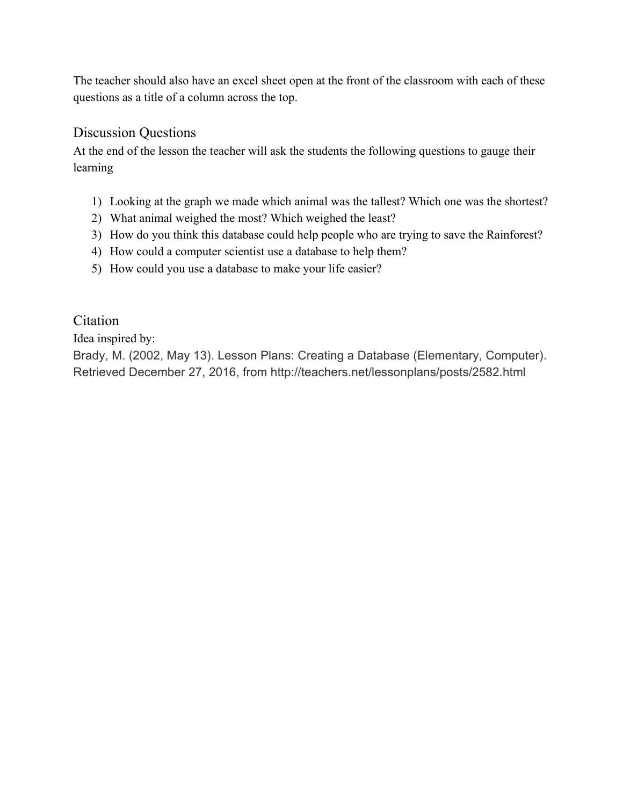The teacher should also have an excel sheet open at the front of the classroom with each of these questions as a title of a column across the top.

#### Discussion Questions

At the end of the lesson the teacher will ask the students the following questions to gauge their learning

- 1) Looking at the graph we made which animal was the tallest? Which one was the shortest?
- 2) What animal weighed the most? Which weighed the least?
- 3) How do you think this database could help people who are trying to save the Rainforest?
- 4) How could a computer scientist use a database to help them?
- 5) How could you use a database to make your life easier?

# Citation

Idea inspired by:

Brady, M. (2002, May 13). Lesson Plans: Creating a Database (Elementary, Computer). Retrieved December 27, 2016, from http://teachers.net/lessonplans/posts/2582.html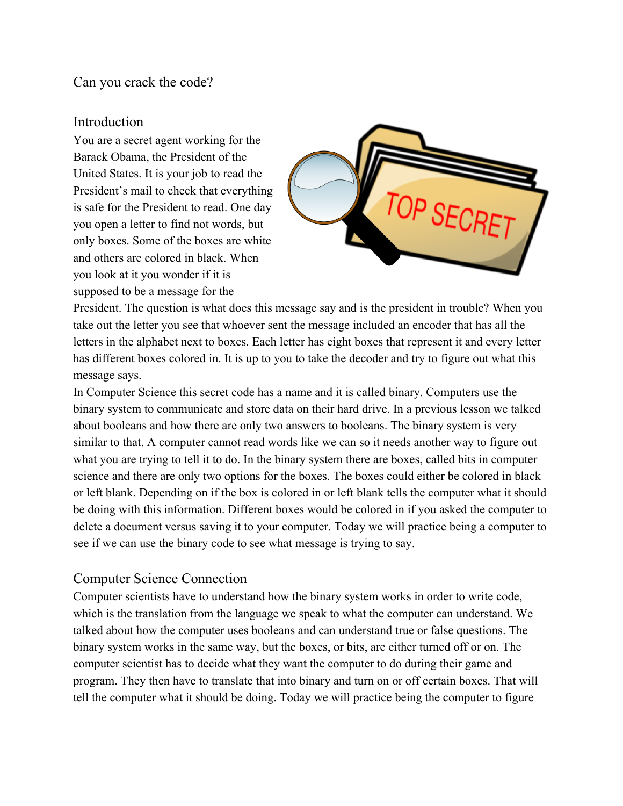Can you crack the code?

#### Introduction

You are a secret agent working for the Barack Obama, the President of the United States. It is your job to read the President's mail to check that everything is safe for the President to read. One day you open a letter to find not words, but only boxes. Some of the boxes are white and others are colored in black. When you look at it you wonder if it is supposed to be a message for the



President. The question is what does this message say and is the president in trouble? When you take out the letter you see that whoever sent the message included an encoder that has all the letters in the alphabet next to boxes. Each letter has eight boxes that represent it and every letter has different boxes colored in. It is up to you to take the decoder and try to figure out what this message says.

In Computer Science this secret code has a name and it is called binary. Computers use the binary system to communicate and store data on their hard drive. In a previous lesson we talked about booleans and how there are only two answers to booleans. The binary system is very similar to that. A computer cannot read words like we can so it needs another way to figure out what you are trying to tell it to do. In the binary system there are boxes, called bits in computer science and there are only two options for the boxes. The boxes could either be colored in black or left blank. Depending on if the box is colored in or left blank tells the computer what it should be doing with this information. Different boxes would be colored in if you asked the computer to delete a document versus saving it to your computer. Today we will practice being a computer to see if we can use the binary code to see what message is trying to say.

# Computer Science Connection

Computer scientists have to understand how the binary system works in order to write code, which is the translation from the language we speak to what the computer can understand. We talked about how the computer uses booleans and can understand true or false questions. The binary system works in the same way, but the boxes, or bits, are either turned off or on. The computer scientist has to decide what they want the computer to do during their game and program. They then have to translate that into binary and turn on or off certain boxes. That will tell the computer what it should be doing. Today we will practice being the computer to figure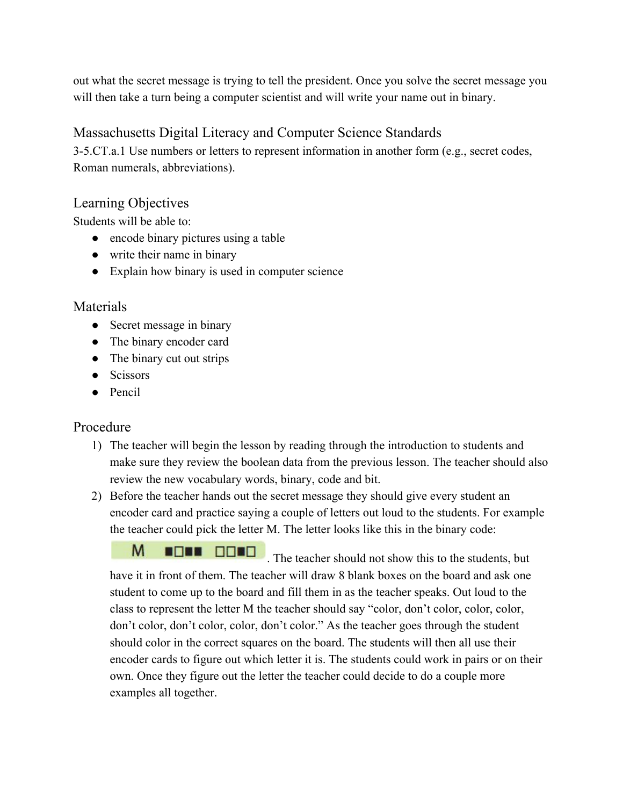out what the secret message is trying to tell the president. Once you solve the secret message you will then take a turn being a computer scientist and will write your name out in binary.

# Massachusetts Digital Literacy and Computer Science Standards

3-5.CT.a.1 Use numbers or letters to represent information in another form (e.g., secret codes, Roman numerals, abbreviations).

# Learning Objectives

Students will be able to:

- encode binary pictures using a table
- write their name in binary
- Explain how binary is used in computer science

# Materials

- Secret message in binary
- The binary encoder card
- The binary cut out strips
- Scissors
- Pencil

# Procedure

- 1) The teacher will begin the lesson by reading through the introduction to students and make sure they review the boolean data from the previous lesson. The teacher should also review the new vocabulary words, binary, code and bit.
- 2) Before the teacher hands out the secret message they should give every student an encoder card and practice saying a couple of letters out loud to the students. For example the teacher could pick the letter M. The letter looks like this in the binary code:

м

**THE RESERVE THE THE SHOULD FOR THE SHOULD FOR THE SHOULD FOR THE SHOULD FOR THE SHOULD FOR THE SHOULD FOR THE SHOULD FOR THE SHOULD FOR THE SHOULD FOR THE SHOULD FOR THE SHOULD FOR THE SHOULD FOR THE SHOULD FOR THE SHOULD** have it in front of them. The teacher will draw 8 blank boxes on the board and ask one student to come up to the board and fill them in as the teacher speaks. Out loud to the class to represent the letter M the teacher should say "color, don't color, color, color, don't color, don't color, color, don't color." As the teacher goes through the student should color in the correct squares on the board. The students will then all use their encoder cards to figure out which letter it is. The students could work in pairs or on their own. Once they figure out the letter the teacher could decide to do a couple more examples all together.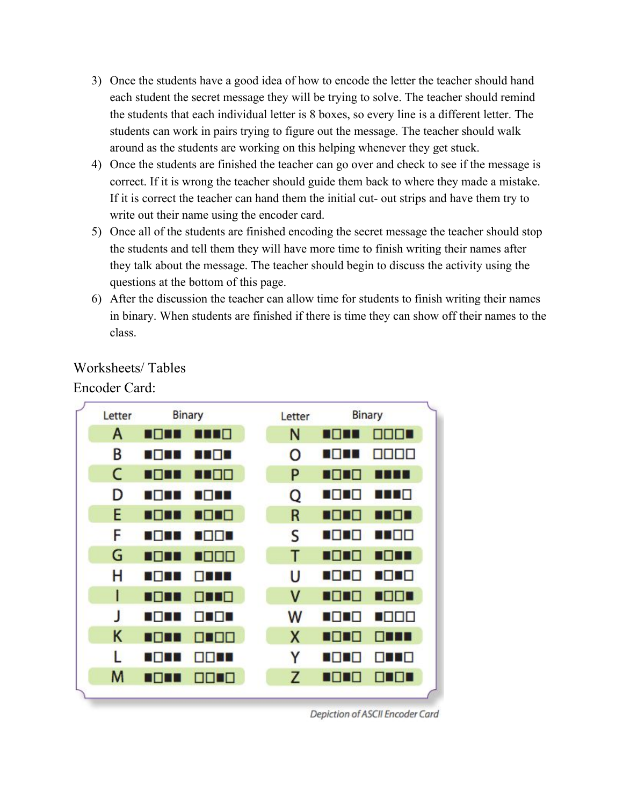- 3) Once the students have a good idea of how to encode the letter the teacher should hand each student the secret message they will be trying to solve. The teacher should remind the students that each individual letter is 8 boxes, so every line is a different letter. The students can work in pairs trying to figure out the message. The teacher should walk around as the students are working on this helping whenever they get stuck.
- 4) Once the students are finished the teacher can go over and check to see if the message is correct. If it is wrong the teacher should guide them back to where they made a mistake. If it is correct the teacher can hand them the initial cut- out strips and have them try to write out their name using the encoder card.
- 5) Once all of the students are finished encoding the secret message the teacher should stop the students and tell them they will have more time to finish writing their names after they talk about the message. The teacher should begin to discuss the activity using the questions at the bottom of this page.
- 6) After the discussion the teacher can allow time for students to finish writing their names in binary. When students are finished if there is time they can show off their names to the class.

# Worksheets/ Tables

Encoder Card:

| Letter | <b>Binary</b> |              | Letter | <b>Binary</b> |             |               |  |
|--------|---------------|--------------|--------|---------------|-------------|---------------|--|
| A      | 00 O O        | mo           |        | N             | 88 O O      | 0000          |  |
| B      | a di ka       | an an        |        | O             | an de       | 0000          |  |
| C      | 00 O          | <b>THE</b>   |        | P             | 0001        | <b>THE RE</b> |  |
| D      | 88 O B        | 80 60        |        | Q             | 0000        | . <b>.</b> .  |  |
| E      | 66 O O O      | 88 B B       |        | R             | 88 B B      | mo            |  |
| F      | a de la       | 80 C S       |        | S             | 8000        | 80 D D        |  |
| G      | nam           | 8000         |        | т             | 0001        | OOO           |  |
| н      | n de la       | <b>THE R</b> |        | U             | 80 B B      | 80 B B        |  |
| ı      | non           | <b>DETER</b> |        | v             | N 00 1      | 800           |  |
| J      | n a m         | <b>ANDR</b>  |        | W             | 0000        | 800 C         |  |
| κ      | 88 O B B      | <b>BOBB</b>  |        | X             | 000 I       | n 11 1        |  |
| L      | a de la       | <b>ODER</b>  |        | Υ             | <b>RODU</b> | n nan         |  |
| M      | 00 O O        | <b>OO DO</b> |        | Z             | NO 1        | 100           |  |
|        |               |              |        |               |             |               |  |

Depiction of ASCII Encoder Card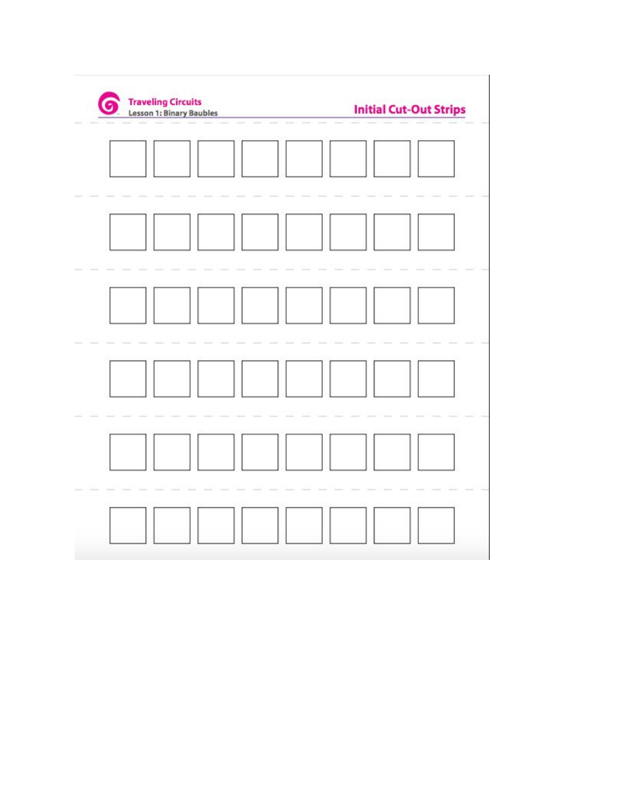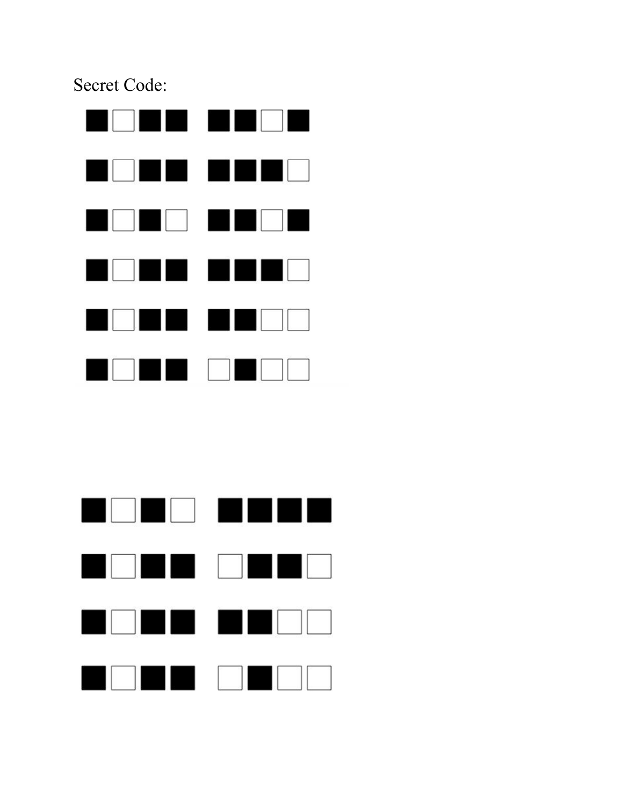# Secret Code:



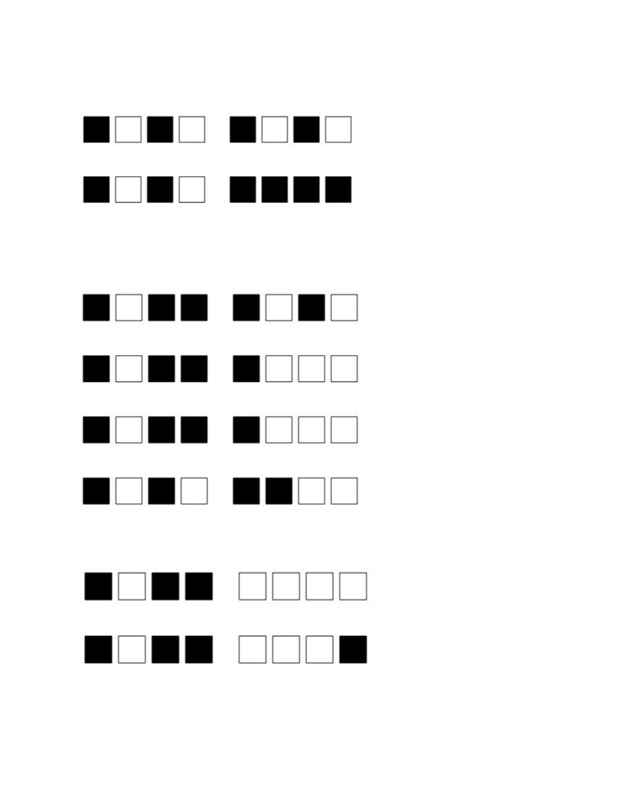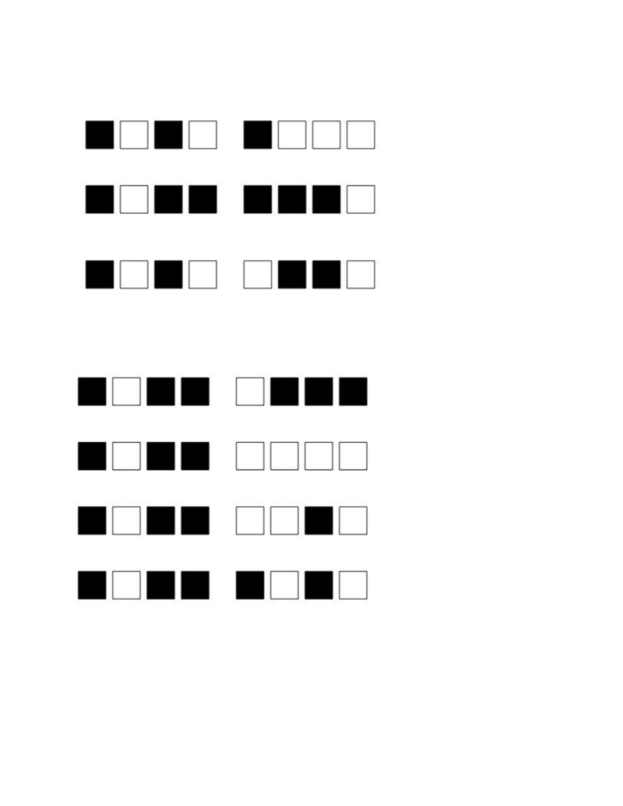

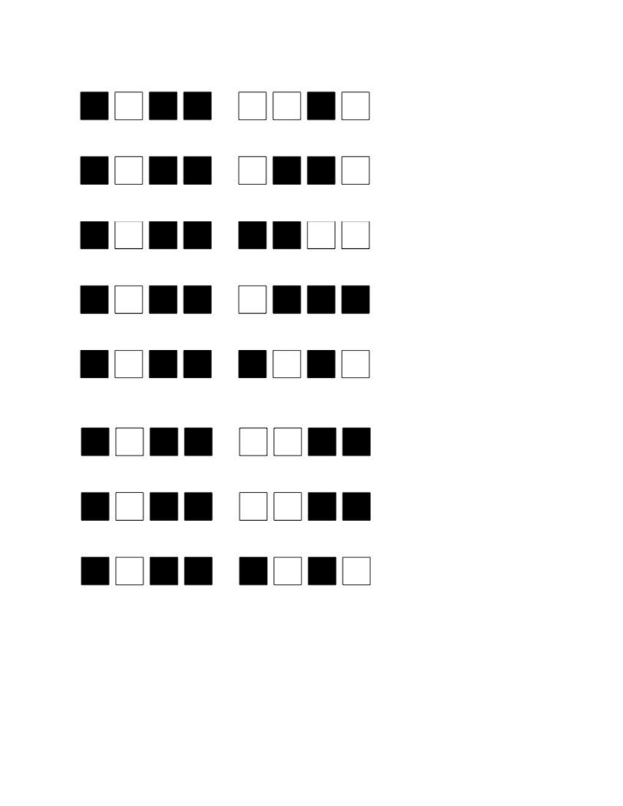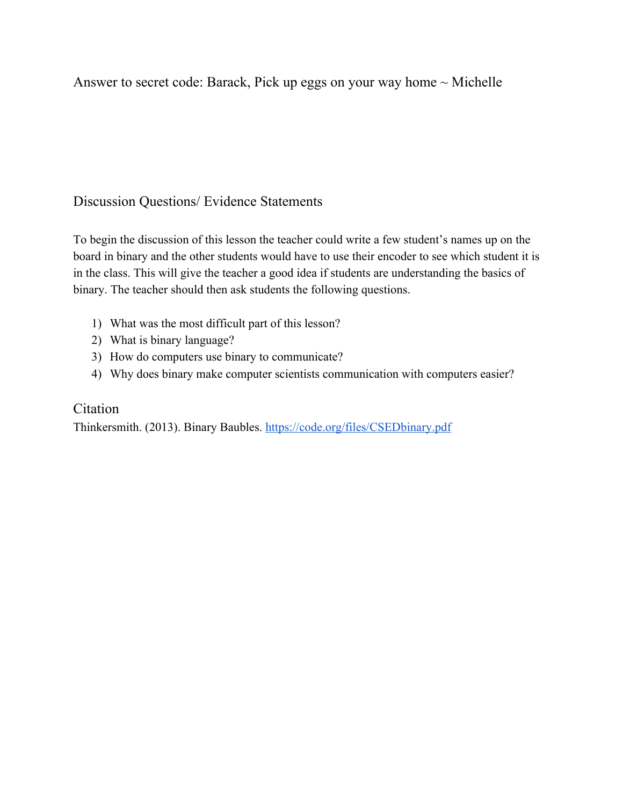Answer to secret code: Barack, Pick up eggs on your way home  $\sim$  Michelle

# Discussion Questions/ Evidence Statements

To begin the discussion of this lesson the teacher could write a few student's names up on the board in binary and the other students would have to use their encoder to see which student it is in the class. This will give the teacher a good idea if students are understanding the basics of binary. The teacher should then ask students the following questions.

- 1) What was the most difficult part of this lesson?
- 2) What is binary language?
- 3) How do computers use binary to communicate?
- 4) Why does binary make computer scientists communication with computers easier?

#### Citation

Thinkersmith. (2013). Binary Baubles.<https://code.org/files/CSEDbinary.pdf>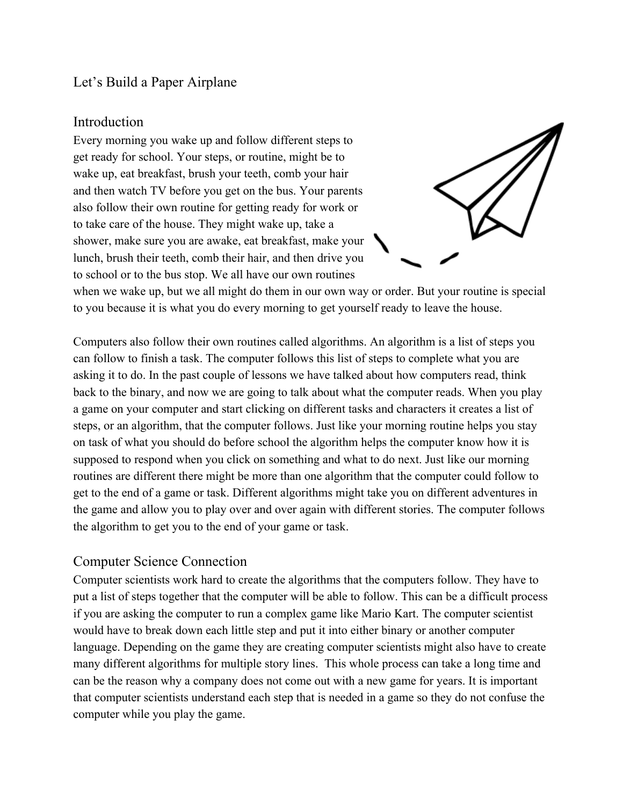# Let's Build a Paper Airplane

#### Introduction

Every morning you wake up and follow different steps to get ready for school. Your steps, or routine, might be to wake up, eat breakfast, brush your teeth, comb your hair and then watch TV before you get on the bus. Your parents also follow their own routine for getting ready for work or to take care of the house. They might wake up, take a shower, make sure you are awake, eat breakfast, make your lunch, brush their teeth, comb their hair, and then drive you to school or to the bus stop. We all have our own routines



when we wake up, but we all might do them in our own way or order. But your routine is special to you because it is what you do every morning to get yourself ready to leave the house.

Computers also follow their own routines called algorithms. An algorithm is a list of steps you can follow to finish a task. The computer follows this list of steps to complete what you are asking it to do. In the past couple of lessons we have talked about how computers read, think back to the binary, and now we are going to talk about what the computer reads. When you play a game on your computer and start clicking on different tasks and characters it creates a list of steps, or an algorithm, that the computer follows. Just like your morning routine helps you stay on task of what you should do before school the algorithm helps the computer know how it is supposed to respond when you click on something and what to do next. Just like our morning routines are different there might be more than one algorithm that the computer could follow to get to the end of a game or task. Different algorithms might take you on different adventures in the game and allow you to play over and over again with different stories. The computer follows the algorithm to get you to the end of your game or task.

# Computer Science Connection

Computer scientists work hard to create the algorithms that the computers follow. They have to put a list of steps together that the computer will be able to follow. This can be a difficult process if you are asking the computer to run a complex game like Mario Kart. The computer scientist would have to break down each little step and put it into either binary or another computer language. Depending on the game they are creating computer scientists might also have to create many different algorithms for multiple story lines. This whole process can take a long time and can be the reason why a company does not come out with a new game for years. It is important that computer scientists understand each step that is needed in a game so they do not confuse the computer while you play the game.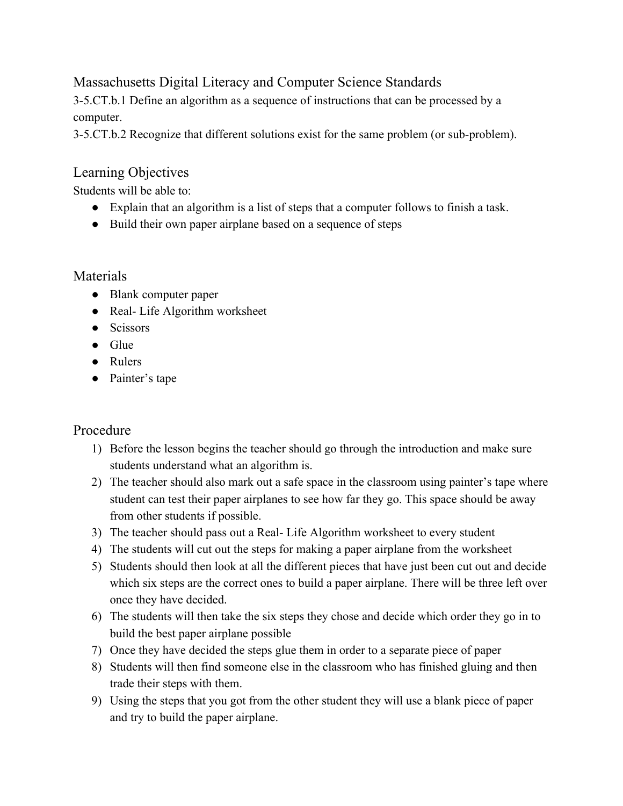# Massachusetts Digital Literacy and Computer Science Standards

3-5.CT.b.1 Define an algorithm as a sequence of instructions that can be processed by a computer.

3-5.CT.b.2 Recognize that different solutions exist for the same problem (or sub-problem).

# Learning Objectives

Students will be able to:

- Explain that an algorithm is a list of steps that a computer follows to finish a task.
- Build their own paper airplane based on a sequence of steps

#### **Materials**

- Blank computer paper
- Real-Life Algorithm worksheet
- Scissors
- Glue
- Rulers
- Painter's tape

# Procedure

- 1) Before the lesson begins the teacher should go through the introduction and make sure students understand what an algorithm is.
- 2) The teacher should also mark out a safe space in the classroom using painter's tape where student can test their paper airplanes to see how far they go. This space should be away from other students if possible.
- 3) The teacher should pass out a Real- Life Algorithm worksheet to every student
- 4) The students will cut out the steps for making a paper airplane from the worksheet
- 5) Students should then look at all the different pieces that have just been cut out and decide which six steps are the correct ones to build a paper airplane. There will be three left over once they have decided.
- 6) The students will then take the six steps they chose and decide which order they go in to build the best paper airplane possible
- 7) Once they have decided the steps glue them in order to a separate piece of paper
- 8) Students will then find someone else in the classroom who has finished gluing and then trade their steps with them.
- 9) Using the steps that you got from the other student they will use a blank piece of paper and try to build the paper airplane.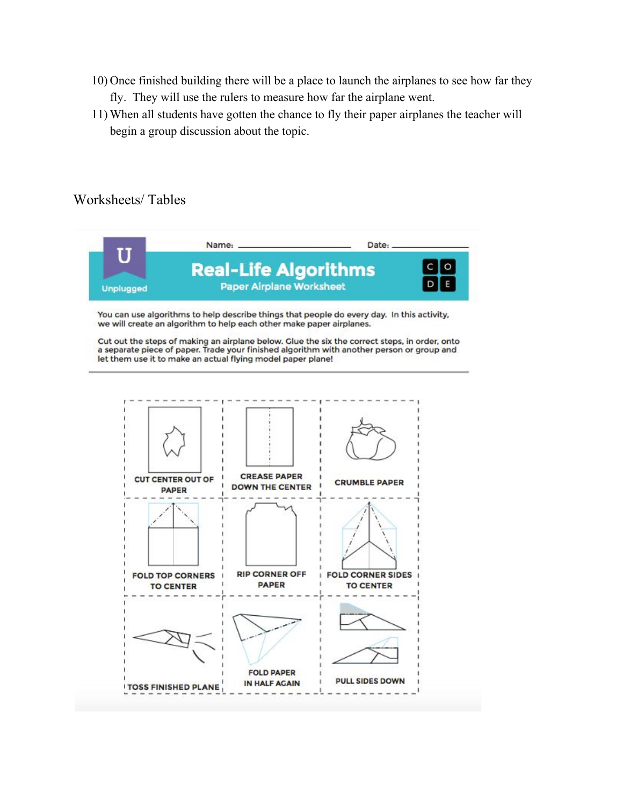- 10) Once finished building there will be a place to launch the airplanes to see how far they fly. They will use the rulers to measure how far the airplane went.
- 11) When all students have gotten the chance to fly their paper airplanes the teacher will begin a group discussion about the topic.

# Worksheets/ Tables

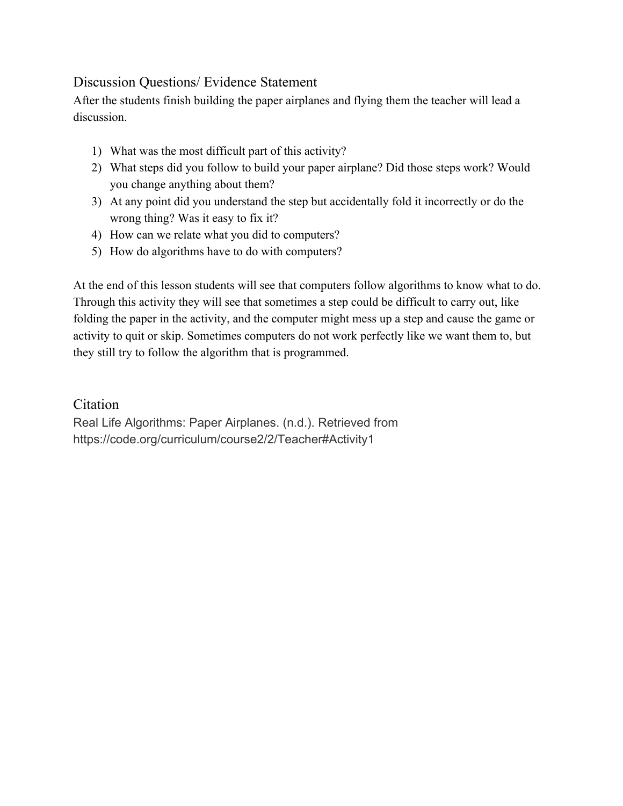# Discussion Questions/ Evidence Statement

After the students finish building the paper airplanes and flying them the teacher will lead a discussion.

- 1) What was the most difficult part of this activity?
- 2) What steps did you follow to build your paper airplane? Did those steps work? Would you change anything about them?
- 3) At any point did you understand the step but accidentally fold it incorrectly or do the wrong thing? Was it easy to fix it?
- 4) How can we relate what you did to computers?
- 5) How do algorithms have to do with computers?

At the end of this lesson students will see that computers follow algorithms to know what to do. Through this activity they will see that sometimes a step could be difficult to carry out, like folding the paper in the activity, and the computer might mess up a step and cause the game or activity to quit or skip. Sometimes computers do not work perfectly like we want them to, but they still try to follow the algorithm that is programmed.

#### Citation

Real Life Algorithms: Paper Airplanes. (n.d.). Retrieved from https://code.org/curriculum/course2/2/Teacher#Activity1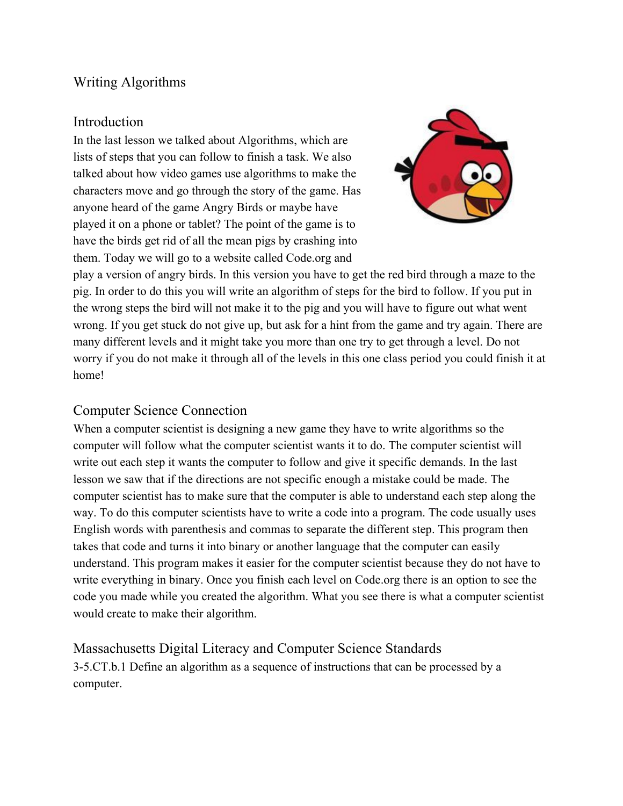# Writing Algorithms

#### Introduction

In the last lesson we talked about Algorithms, which are lists of steps that you can follow to finish a task. We also talked about how video games use algorithms to make the characters move and go through the story of the game. Has anyone heard of the game Angry Birds or maybe have played it on a phone or tablet? The point of the game is to have the birds get rid of all the mean pigs by crashing into them. Today we will go to a website called Code.org and



play a version of angry birds. In this version you have to get the red bird through a maze to the pig. In order to do this you will write an algorithm of steps for the bird to follow. If you put in the wrong steps the bird will not make it to the pig and you will have to figure out what went wrong. If you get stuck do not give up, but ask for a hint from the game and try again. There are many different levels and it might take you more than one try to get through a level. Do not worry if you do not make it through all of the levels in this one class period you could finish it at home!

# Computer Science Connection

When a computer scientist is designing a new game they have to write algorithms so the computer will follow what the computer scientist wants it to do. The computer scientist will write out each step it wants the computer to follow and give it specific demands. In the last lesson we saw that if the directions are not specific enough a mistake could be made. The computer scientist has to make sure that the computer is able to understand each step along the way. To do this computer scientists have to write a code into a program. The code usually uses English words with parenthesis and commas to separate the different step. This program then takes that code and turns it into binary or another language that the computer can easily understand. This program makes it easier for the computer scientist because they do not have to write everything in binary. Once you finish each level on Code.org there is an option to see the code you made while you created the algorithm. What you see there is what a computer scientist would create to make their algorithm.

Massachusetts Digital Literacy and Computer Science Standards 3-5.CT.b.1 Define an algorithm as a sequence of instructions that can be processed by a computer.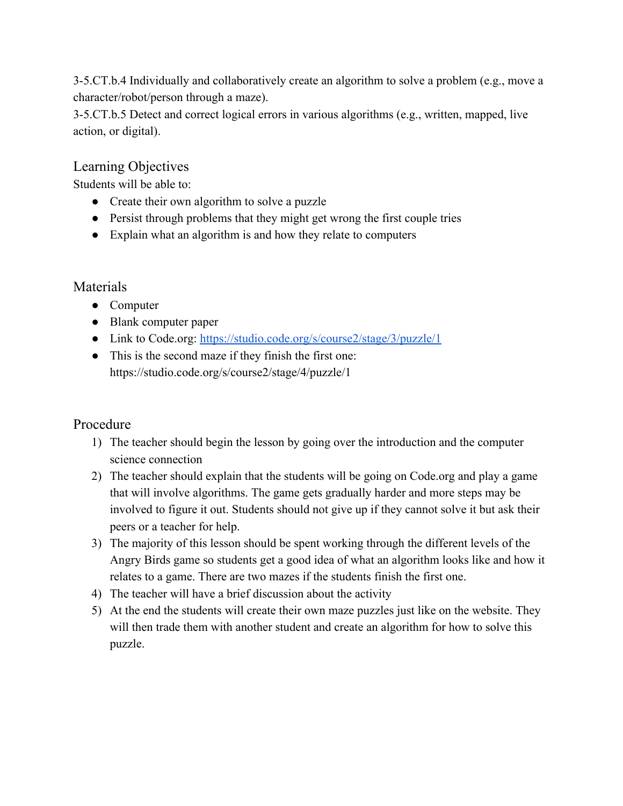3-5.CT.b.4 Individually and collaboratively create an algorithm to solve a problem (e.g., move a character/robot/person through a maze).

3-5.CT.b.5 Detect and correct logical errors in various algorithms (e.g., written, mapped, live action, or digital).

# Learning Objectives

Students will be able to:

- Create their own algorithm to solve a puzzle
- Persist through problems that they might get wrong the first couple tries
- Explain what an algorithm is and how they relate to computers

# Materials

- Computer
- Blank computer paper
- Link to Code.org:<https://studio.code.org/s/course2/stage/3/puzzle/1>
- This is the second maze if they finish the first one: https://studio.code.org/s/course2/stage/4/puzzle/1

# Procedure

- 1) The teacher should begin the lesson by going over the introduction and the computer science connection
- 2) The teacher should explain that the students will be going on Code.org and play a game that will involve algorithms. The game gets gradually harder and more steps may be involved to figure it out. Students should not give up if they cannot solve it but ask their peers or a teacher for help.
- 3) The majority of this lesson should be spent working through the different levels of the Angry Birds game so students get a good idea of what an algorithm looks like and how it relates to a game. There are two mazes if the students finish the first one.
- 4) The teacher will have a brief discussion about the activity
- 5) At the end the students will create their own maze puzzles just like on the website. They will then trade them with another student and create an algorithm for how to solve this puzzle.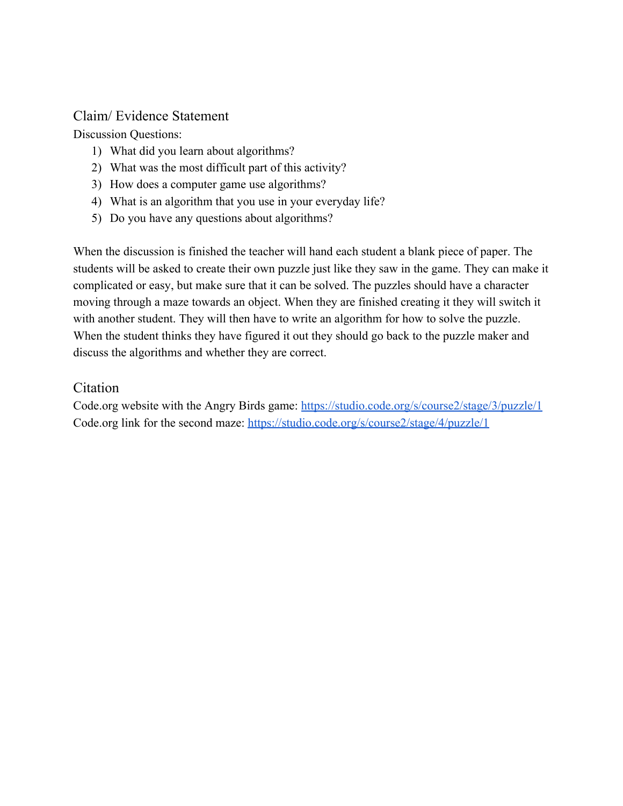#### Claim/ Evidence Statement

Discussion Questions:

- 1) What did you learn about algorithms?
- 2) What was the most difficult part of this activity?
- 3) How does a computer game use algorithms?
- 4) What is an algorithm that you use in your everyday life?
- 5) Do you have any questions about algorithms?

When the discussion is finished the teacher will hand each student a blank piece of paper. The students will be asked to create their own puzzle just like they saw in the game. They can make it complicated or easy, but make sure that it can be solved. The puzzles should have a character moving through a maze towards an object. When they are finished creating it they will switch it with another student. They will then have to write an algorithm for how to solve the puzzle. When the student thinks they have figured it out they should go back to the puzzle maker and discuss the algorithms and whether they are correct.

#### Citation

Code.org website with the Angry Birds game: <https://studio.code.org/s/course2/stage/3/puzzle/1> Code.org link for the second maze:<https://studio.code.org/s/course2/stage/4/puzzle/1>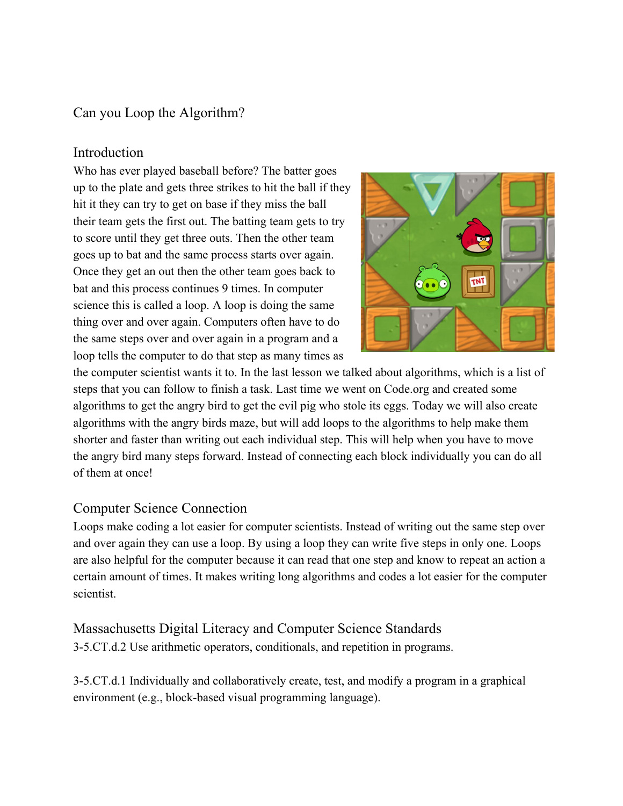# Can you Loop the Algorithm?

#### Introduction

Who has ever played baseball before? The batter goes up to the plate and gets three strikes to hit the ball if they hit it they can try to get on base if they miss the ball their team gets the first out. The batting team gets to try to score until they get three outs. Then the other team goes up to bat and the same process starts over again. Once they get an out then the other team goes back to bat and this process continues 9 times. In computer science this is called a loop. A loop is doing the same thing over and over again. Computers often have to do the same steps over and over again in a program and a loop tells the computer to do that step as many times as



the computer scientist wants it to. In the last lesson we talked about algorithms, which is a list of steps that you can follow to finish a task. Last time we went on Code.org and created some algorithms to get the angry bird to get the evil pig who stole its eggs. Today we will also create algorithms with the angry birds maze, but will add loops to the algorithms to help make them shorter and faster than writing out each individual step. This will help when you have to move the angry bird many steps forward. Instead of connecting each block individually you can do all of them at once!

# Computer Science Connection

Loops make coding a lot easier for computer scientists. Instead of writing out the same step over and over again they can use a loop. By using a loop they can write five steps in only one. Loops are also helpful for the computer because it can read that one step and know to repeat an action a certain amount of times. It makes writing long algorithms and codes a lot easier for the computer scientist.

# Massachusetts Digital Literacy and Computer Science Standards 3-5.CT.d.2 Use arithmetic operators, conditionals, and repetition in programs.

3-5.CT.d.1 Individually and collaboratively create, test, and modify a program in a graphical environment (e.g., block-based visual programming language).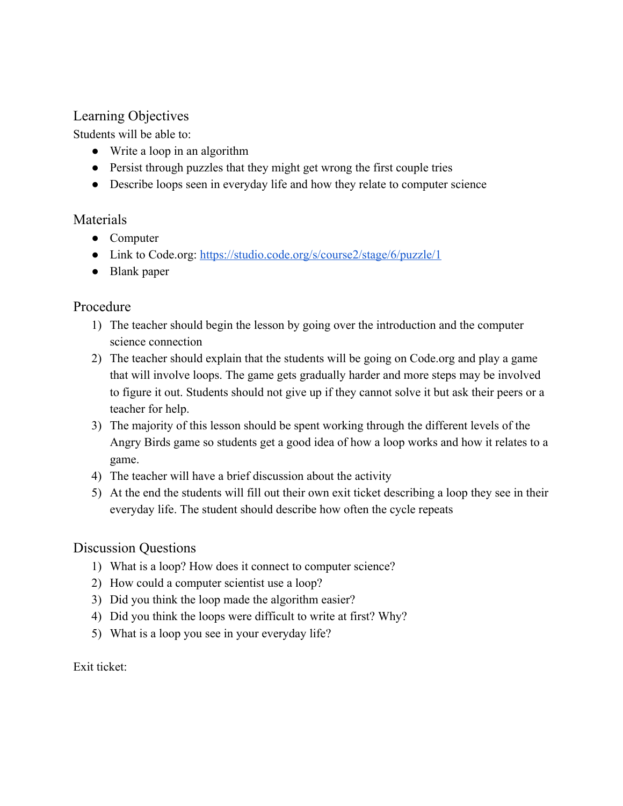# Learning Objectives

Students will be able to:

- Write a loop in an algorithm
- Persist through puzzles that they might get wrong the first couple tries
- Describe loops seen in everyday life and how they relate to computer science

# Materials

- Computer
- Link to Code.org:<https://studio.code.org/s/course2/stage/6/puzzle/1>
- Blank paper

# Procedure

- 1) The teacher should begin the lesson by going over the introduction and the computer science connection
- 2) The teacher should explain that the students will be going on Code.org and play a game that will involve loops. The game gets gradually harder and more steps may be involved to figure it out. Students should not give up if they cannot solve it but ask their peers or a teacher for help.
- 3) The majority of this lesson should be spent working through the different levels of the Angry Birds game so students get a good idea of how a loop works and how it relates to a game.
- 4) The teacher will have a brief discussion about the activity
- 5) At the end the students will fill out their own exit ticket describing a loop they see in their everyday life. The student should describe how often the cycle repeats

# Discussion Questions

- 1) What is a loop? How does it connect to computer science?
- 2) How could a computer scientist use a loop?
- 3) Did you think the loop made the algorithm easier?
- 4) Did you think the loops were difficult to write at first? Why?
- 5) What is a loop you see in your everyday life?

Exit ticket: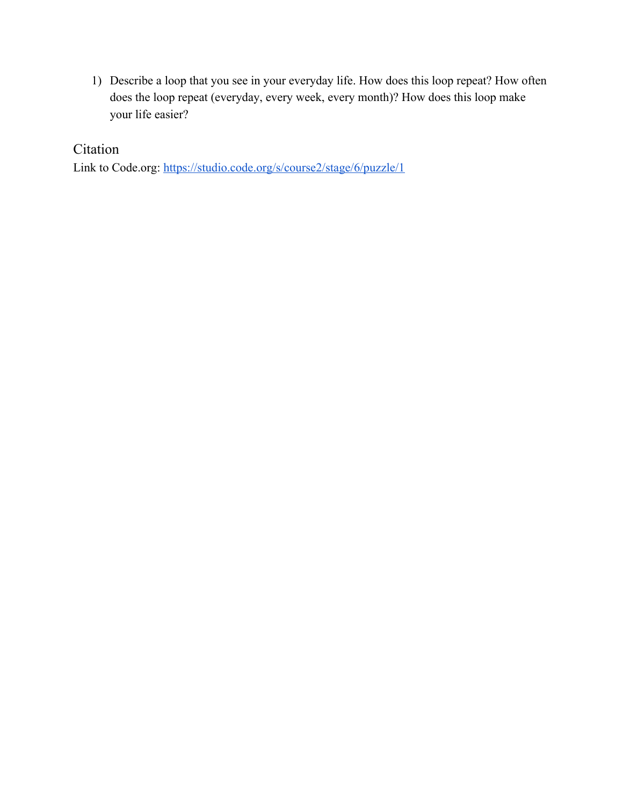1) Describe a loop that you see in your everyday life. How does this loop repeat? How often does the loop repeat (everyday, every week, every month)? How does this loop make your life easier?

# Citation

Link to Code.org:<https://studio.code.org/s/course2/stage/6/puzzle/1>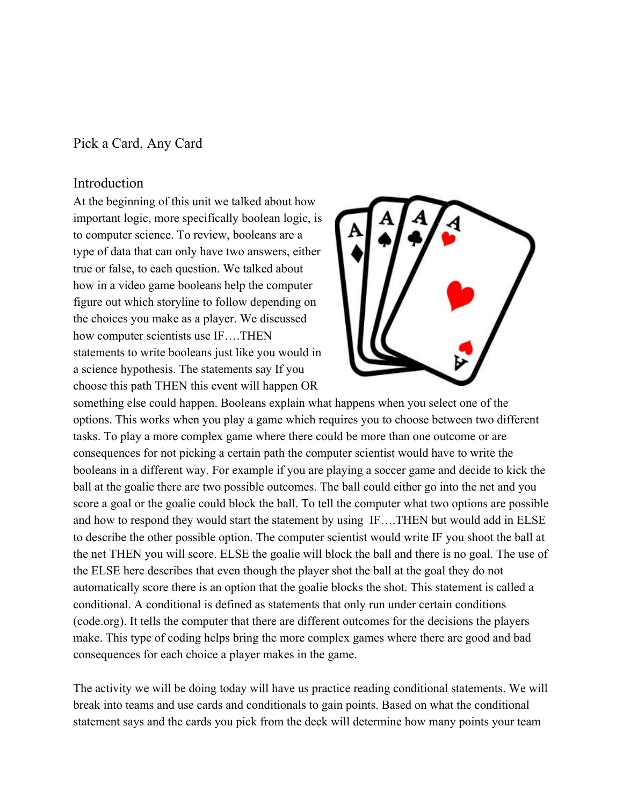#### Pick a Card, Any Card

#### Introduction

At the beginning of this unit we talked about how important logic, more specifically boolean logic, is to computer science. To review, booleans are a type of data that can only have two answers, either true or false, to each question. We talked about how in a video game booleans help the computer figure out which storyline to follow depending on the choices you make as a player. We discussed how computer scientists use IF….THEN statements to write booleans just like you would in a science hypothesis. The statements say If you choose this path THEN this event will happen OR



something else could happen. Booleans explain what happens when you select one of the options. This works when you play a game which requires you to choose between two different tasks. To play a more complex game where there could be more than one outcome or are consequences for not picking a certain path the computer scientist would have to write the booleans in a different way. For example if you are playing a soccer game and decide to kick the ball at the goalie there are two possible outcomes. The ball could either go into the net and you score a goal or the goalie could block the ball. To tell the computer what two options are possible and how to respond they would start the statement by using IF….THEN but would add in ELSE to describe the other possible option. The computer scientist would write IF you shoot the ball at the net THEN you will score. ELSE the goalie will block the ball and there is no goal. The use of the ELSE here describes that even though the player shot the ball at the goal they do not automatically score there is an option that the goalie blocks the shot. This statement is called a conditional. A conditional is defined as statements that only run under certain conditions (code.org). It tells the computer that there are different outcomes for the decisions the players make. This type of coding helps bring the more complex games where there are good and bad consequences for each choice a player makes in the game.

The activity we will be doing today will have us practice reading conditional statements. We will break into teams and use cards and conditionals to gain points. Based on what the conditional statement says and the cards you pick from the deck will determine how many points your team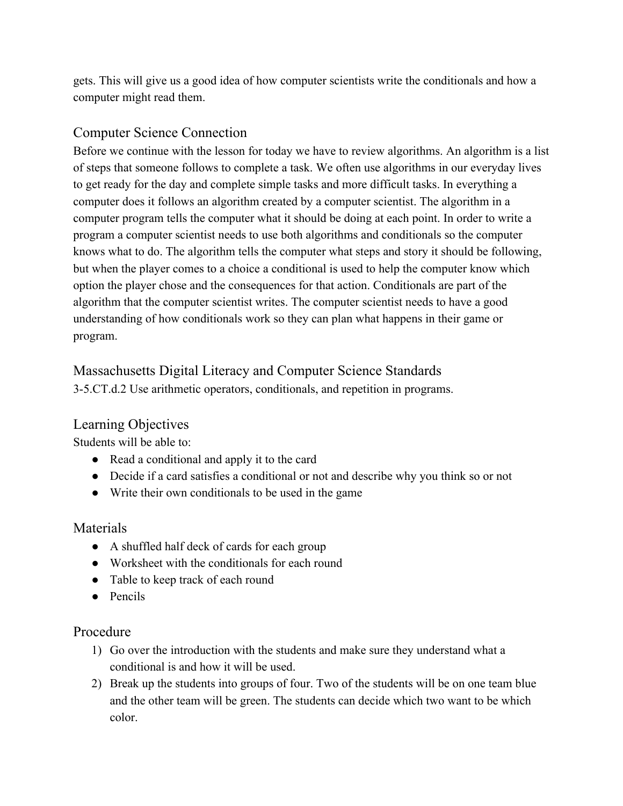gets. This will give us a good idea of how computer scientists write the conditionals and how a computer might read them.

#### Computer Science Connection

Before we continue with the lesson for today we have to review algorithms. An algorithm is a list of steps that someone follows to complete a task. We often use algorithms in our everyday lives to get ready for the day and complete simple tasks and more difficult tasks. In everything a computer does it follows an algorithm created by a computer scientist. The algorithm in a computer program tells the computer what it should be doing at each point. In order to write a program a computer scientist needs to use both algorithms and conditionals so the computer knows what to do. The algorithm tells the computer what steps and story it should be following, but when the player comes to a choice a conditional is used to help the computer know which option the player chose and the consequences for that action. Conditionals are part of the algorithm that the computer scientist writes. The computer scientist needs to have a good understanding of how conditionals work so they can plan what happens in their game or program.

# Massachusetts Digital Literacy and Computer Science Standards

3-5.CT.d.2 Use arithmetic operators, conditionals, and repetition in programs.

# Learning Objectives

Students will be able to:

- Read a conditional and apply it to the card
- Decide if a card satisfies a conditional or not and describe why you think so or not
- Write their own conditionals to be used in the game

# Materials

- A shuffled half deck of cards for each group
- Worksheet with the conditionals for each round
- Table to keep track of each round
- Pencils

# Procedure

- 1) Go over the introduction with the students and make sure they understand what a conditional is and how it will be used.
- 2) Break up the students into groups of four. Two of the students will be on one team blue and the other team will be green. The students can decide which two want to be which color.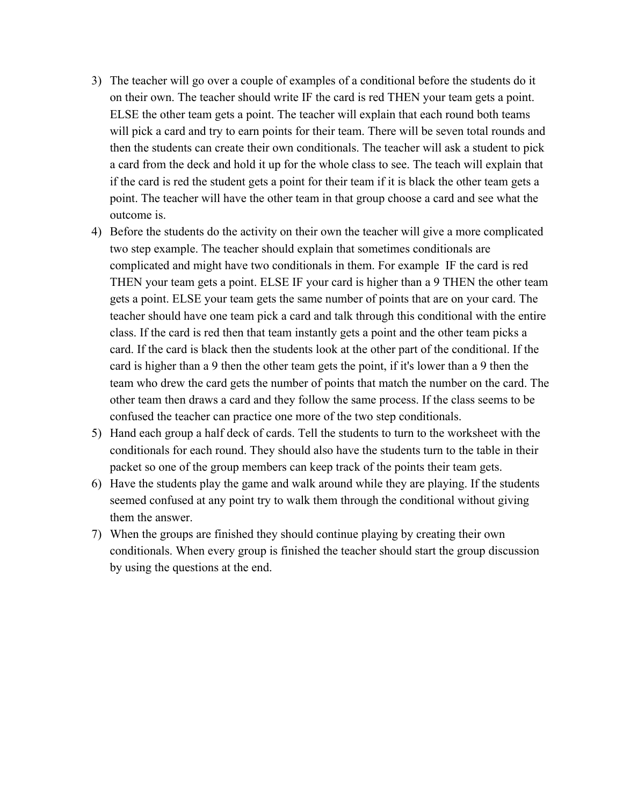- 3) The teacher will go over a couple of examples of a conditional before the students do it on their own. The teacher should write IF the card is red THEN your team gets a point. ELSE the other team gets a point. The teacher will explain that each round both teams will pick a card and try to earn points for their team. There will be seven total rounds and then the students can create their own conditionals. The teacher will ask a student to pick a card from the deck and hold it up for the whole class to see. The teach will explain that if the card is red the student gets a point for their team if it is black the other team gets a point. The teacher will have the other team in that group choose a card and see what the outcome is.
- 4) Before the students do the activity on their own the teacher will give a more complicated two step example. The teacher should explain that sometimes conditionals are complicated and might have two conditionals in them. For example IF the card is red THEN your team gets a point. ELSE IF your card is higher than a 9 THEN the other team gets a point. ELSE your team gets the same number of points that are on your card. The teacher should have one team pick a card and talk through this conditional with the entire class. If the card is red then that team instantly gets a point and the other team picks a card. If the card is black then the students look at the other part of the conditional. If the card is higher than a 9 then the other team gets the point, if it's lower than a 9 then the team who drew the card gets the number of points that match the number on the card. The other team then draws a card and they follow the same process. If the class seems to be confused the teacher can practice one more of the two step conditionals.
- 5) Hand each group a half deck of cards. Tell the students to turn to the worksheet with the conditionals for each round. They should also have the students turn to the table in their packet so one of the group members can keep track of the points their team gets.
- 6) Have the students play the game and walk around while they are playing. If the students seemed confused at any point try to walk them through the conditional without giving them the answer.
- 7) When the groups are finished they should continue playing by creating their own conditionals. When every group is finished the teacher should start the group discussion by using the questions at the end.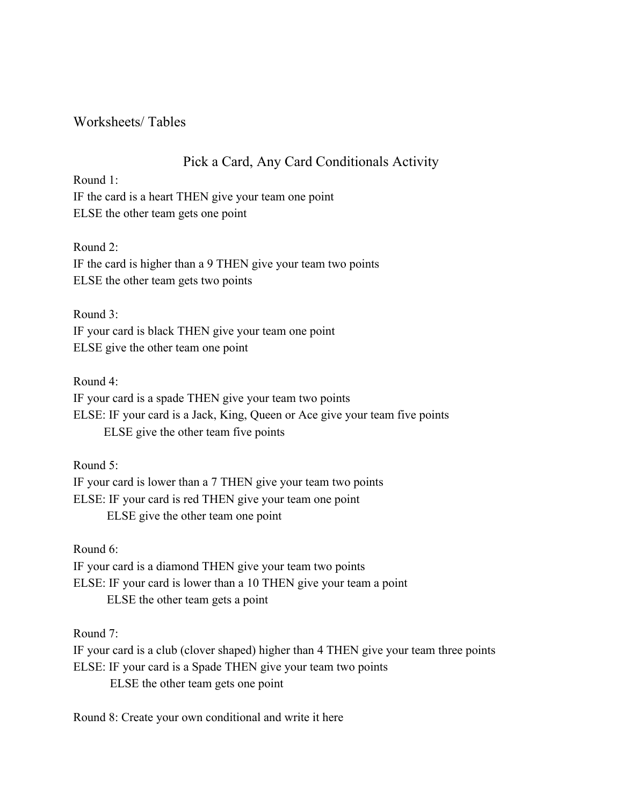#### Worksheets/ Tables

# Pick a Card, Any Card Conditionals Activity

Round 1:

IF the card is a heart THEN give your team one point ELSE the other team gets one point

#### Round 2:

IF the card is higher than a 9 THEN give your team two points ELSE the other team gets two points

Round 3:

IF your card is black THEN give your team one point ELSE give the other team one point

#### Round 4:

IF your card is a spade THEN give your team two points ELSE: IF your card is a Jack, King, Queen or Ace give your team five points ELSE give the other team five points

Round 5:

IF your card is lower than a 7 THEN give your team two points ELSE: IF your card is red THEN give your team one point ELSE give the other team one point

Round 6:

IF your card is a diamond THEN give your team two points ELSE: IF your card is lower than a 10 THEN give your team a point ELSE the other team gets a point

Round 7:

IF your card is a club (clover shaped) higher than 4 THEN give your team three points ELSE: IF your card is a Spade THEN give your team two points ELSE the other team gets one point

Round 8: Create your own conditional and write it here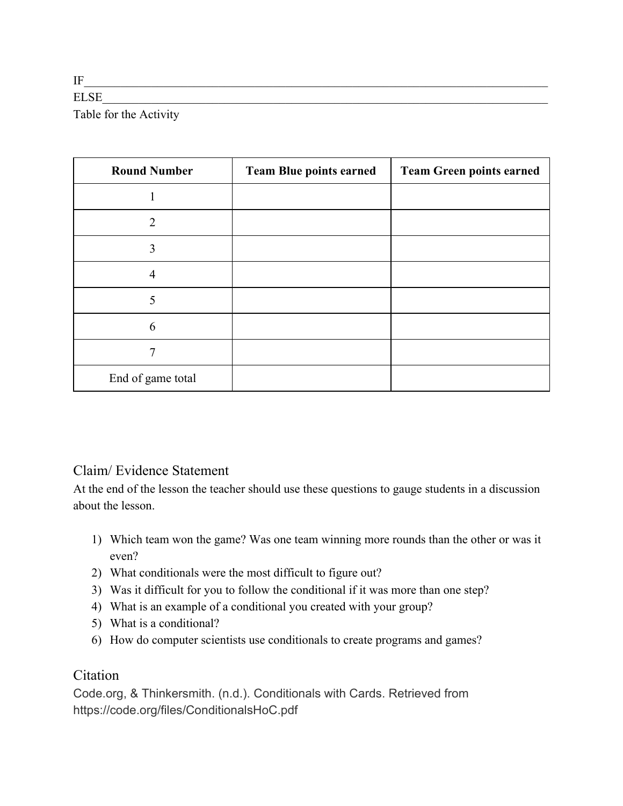| --<br>             |  |
|--------------------|--|
| $\sim$ $-$<br>---- |  |
| $-$                |  |

Table for the Activity

| <b>Round Number</b> | <b>Team Blue points earned</b> | <b>Team Green points earned</b> |
|---------------------|--------------------------------|---------------------------------|
|                     |                                |                                 |
| 2                   |                                |                                 |
| 3                   |                                |                                 |
| $\overline{4}$      |                                |                                 |
| 5                   |                                |                                 |
| 6                   |                                |                                 |
|                     |                                |                                 |
| End of game total   |                                |                                 |

# Claim/ Evidence Statement

At the end of the lesson the teacher should use these questions to gauge students in a discussion about the lesson.

- 1) Which team won the game? Was one team winning more rounds than the other or was it even?
- 2) What conditionals were the most difficult to figure out?
- 3) Was it difficult for you to follow the conditional if it was more than one step?
- 4) What is an example of a conditional you created with your group?
- 5) What is a conditional?
- 6) How do computer scientists use conditionals to create programs and games?

# Citation

Code.org, & Thinkersmith. (n.d.). Conditionals with Cards. Retrieved from https://code.org/files/ConditionalsHoC.pdf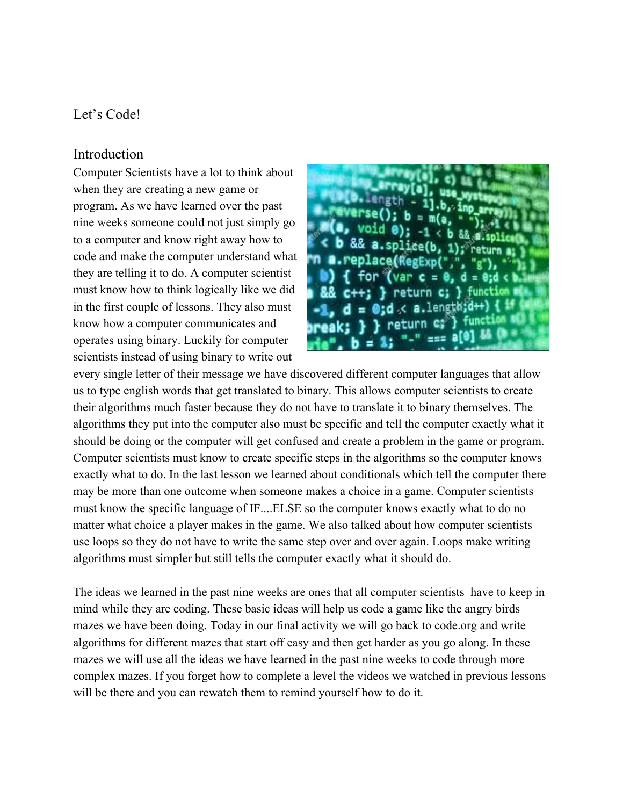#### Let's Code!

#### Introduction

Computer Scientists have a lot to think about when they are creating a new game or program. As we have learned over the past nine weeks someone could not just simply go to a computer and know right away how to code and make the computer understand what they are telling it to do. A computer scientist must know how to think logically like we did in the first couple of lessons. They also must know how a computer communicates and operates using binary. Luckily for computer scientists instead of using binary to write out



every single letter of their message we have discovered different computer languages that allow us to type english words that get translated to binary. This allows computer scientists to create their algorithms much faster because they do not have to translate it to binary themselves. The algorithms they put into the computer also must be specific and tell the computer exactly what it should be doing or the computer will get confused and create a problem in the game or program. Computer scientists must know to create specific steps in the algorithms so the computer knows exactly what to do. In the last lesson we learned about conditionals which tell the computer there may be more than one outcome when someone makes a choice in a game. Computer scientists must know the specific language of IF....ELSE so the computer knows exactly what to do no matter what choice a player makes in the game. We also talked about how computer scientists use loops so they do not have to write the same step over and over again. Loops make writing algorithms must simpler but still tells the computer exactly what it should do.

The ideas we learned in the past nine weeks are ones that all computer scientists have to keep in mind while they are coding. These basic ideas will help us code a game like the angry birds mazes we have been doing. Today in our final activity we will go back to code.org and write algorithms for different mazes that start off easy and then get harder as you go along. In these mazes we will use all the ideas we have learned in the past nine weeks to code through more complex mazes. If you forget how to complete a level the videos we watched in previous lessons will be there and you can rewatch them to remind yourself how to do it.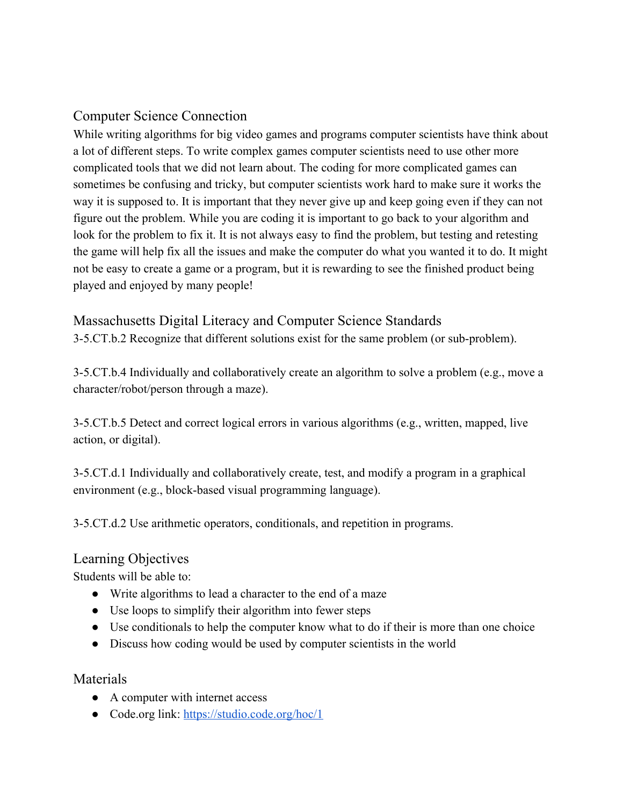# Computer Science Connection

While writing algorithms for big video games and programs computer scientists have think about a lot of different steps. To write complex games computer scientists need to use other more complicated tools that we did not learn about. The coding for more complicated games can sometimes be confusing and tricky, but computer scientists work hard to make sure it works the way it is supposed to. It is important that they never give up and keep going even if they can not figure out the problem. While you are coding it is important to go back to your algorithm and look for the problem to fix it. It is not always easy to find the problem, but testing and retesting the game will help fix all the issues and make the computer do what you wanted it to do. It might not be easy to create a game or a program, but it is rewarding to see the finished product being played and enjoyed by many people!

# Massachusetts Digital Literacy and Computer Science Standards

3-5.CT.b.2 Recognize that different solutions exist for the same problem (or sub-problem).

3-5.CT.b.4 Individually and collaboratively create an algorithm to solve a problem (e.g., move a character/robot/person through a maze).

3-5.CT.b.5 Detect and correct logical errors in various algorithms (e.g., written, mapped, live action, or digital).

3-5.CT.d.1 Individually and collaboratively create, test, and modify a program in a graphical environment (e.g., block-based visual programming language).

3-5.CT.d.2 Use arithmetic operators, conditionals, and repetition in programs.

# Learning Objectives

Students will be able to:

- Write algorithms to lead a character to the end of a maze
- Use loops to simplify their algorithm into fewer steps
- Use conditionals to help the computer know what to do if their is more than one choice
- Discuss how coding would be used by computer scientists in the world

# **Materials**

- A computer with internet access
- Code.org link:<https://studio.code.org/hoc/1>